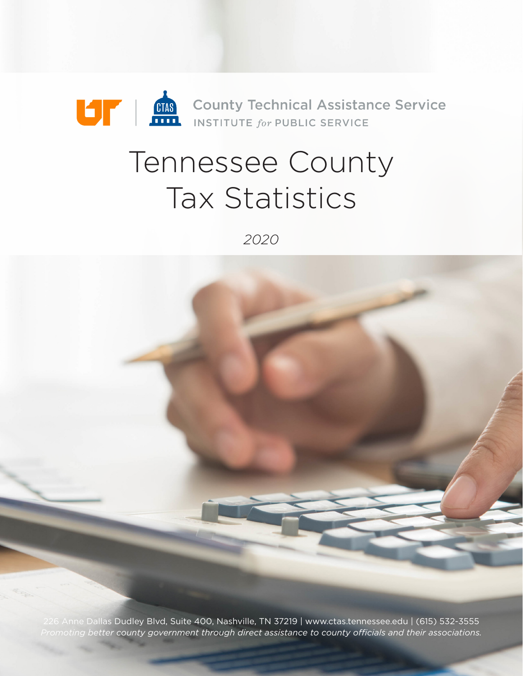

# Tennessee County Tax Statistics

*2020*

226 Anne Dallas Dudley Blvd, Suite 400, Nashville, TN 37219 | www.ctas.tennessee.edu | (615) 532-3555 *Promoting better county government through direct assistance to county o!cials and their associations.*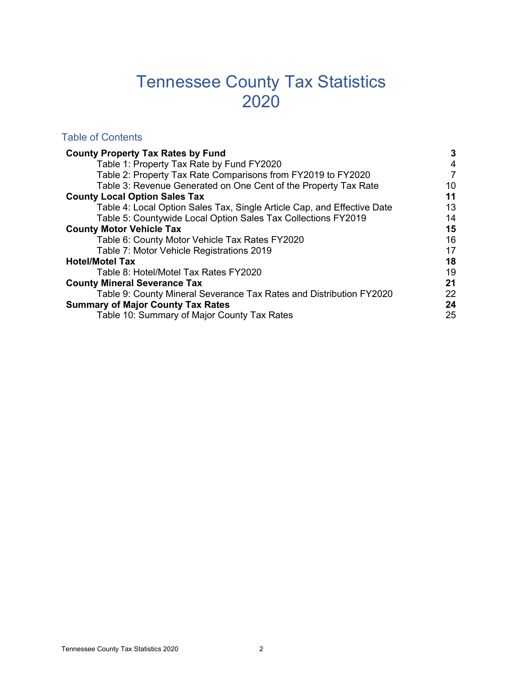## Tennessee County Tax Statistics 2020

#### Table of Contents

| <b>County Property Tax Rates by Fund</b>                                | 3  |
|-------------------------------------------------------------------------|----|
| Table 1: Property Tax Rate by Fund FY2020                               | 4  |
| Table 2: Property Tax Rate Comparisons from FY2019 to FY2020            | 7  |
| Table 3: Revenue Generated on One Cent of the Property Tax Rate         | 10 |
| <b>County Local Option Sales Tax</b>                                    | 11 |
| Table 4: Local Option Sales Tax, Single Article Cap, and Effective Date | 13 |
| Table 5: Countywide Local Option Sales Tax Collections FY2019           | 14 |
| <b>County Motor Vehicle Tax</b>                                         | 15 |
| Table 6: County Motor Vehicle Tax Rates FY2020                          | 16 |
| Table 7: Motor Vehicle Registrations 2019                               | 17 |
| <b>Hotel/Motel Tax</b>                                                  | 18 |
| Table 8: Hotel/Motel Tax Rates FY2020                                   | 19 |
| <b>County Mineral Severance Tax</b>                                     | 21 |
| Table 9: County Mineral Severance Tax Rates and Distribution FY2020     | 22 |
| <b>Summary of Major County Tax Rates</b>                                | 24 |
| Table 10: Summary of Major County Tax Rates                             | 25 |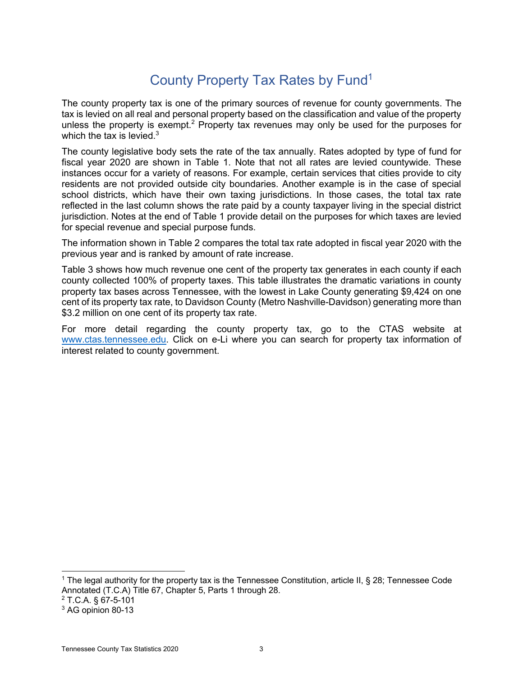The county property tax is one of the primary sources of revenue for county governments. The tax is levied on all real and personal property based on the classification and value of the property unless the property is exempt.<sup>2</sup> Property tax revenues may only be used for the purposes for which the tax is levied. $3$ 

The county legislative body sets the rate of the tax annually. Rates adopted by type of fund for fiscal year 2020 are shown in Table 1. Note that not all rates are levied countywide. These instances occur for a variety of reasons. For example, certain services that cities provide to city residents are not provided outside city boundaries. Another example is in the case of special school districts, which have their own taxing jurisdictions. In those cases, the total tax rate reflected in the last column shows the rate paid by a county taxpayer living in the special district jurisdiction. Notes at the end of Table 1 provide detail on the purposes for which taxes are levied for special revenue and special purpose funds.

The information shown in Table 2 compares the total tax rate adopted in fiscal year 2020 with the previous year and is ranked by amount of rate increase.

Table 3 shows how much revenue one cent of the property tax generates in each county if each county collected 100% of property taxes. This table illustrates the dramatic variations in county property tax bases across Tennessee, with the lowest in Lake County generating \$9,424 on one cent of its property tax rate, to Davidson County (Metro Nashville-Davidson) generating more than \$3.2 million on one cent of its property tax rate.

For more detail regarding the county property tax, go to the CTAS website at www.ctas.tennessee.edu. Click on e-Li where you can search for property tax information of interest related to county government.

<sup>&</sup>lt;sup>1</sup> The legal authority for the property tax is the Tennessee Constitution, article II, § 28; Tennessee Code Annotated (T.C.A) Title 67, Chapter 5, Parts 1 through 28.

<sup>2</sup> T.C.A. § 67-5-101

<sup>&</sup>lt;sup>3</sup> AG opinion 80-13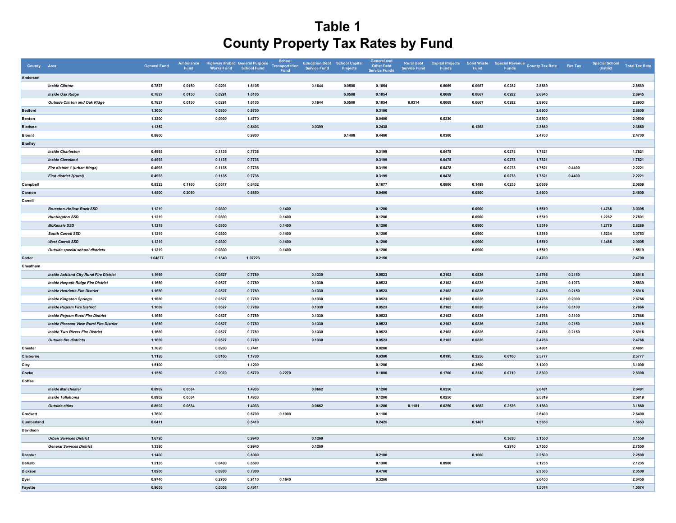| County Area    |                                                 | <b>General Fund</b> | Ambulance<br>Fund | Highway /Public General Purpose<br>Works Fund School Fund |         | School<br>Transportation<br>Fund | <b>Education Debt</b><br><b>Service Fund</b> | School Capital<br>Projects | <b>General and</b><br><b>Other Debt</b><br><b>Service Funds</b> | <b>Rural Debt</b><br><b>Service Fund</b> | <b>Capital Projects</b><br>Funds | <b>Solid Waste</b><br>Fund |        | Special Revenue<br>Funds County Tax Rate | Fire Tax | <b>Special School</b><br>District | <b>Total Tax Rate</b> |
|----------------|-------------------------------------------------|---------------------|-------------------|-----------------------------------------------------------|---------|----------------------------------|----------------------------------------------|----------------------------|-----------------------------------------------------------------|------------------------------------------|----------------------------------|----------------------------|--------|------------------------------------------|----------|-----------------------------------|-----------------------|
| Anderson       |                                                 |                     |                   |                                                           |         |                                  |                                              |                            |                                                                 |                                          |                                  |                            |        |                                          |          |                                   |                       |
|                | <b>Inside Clinton</b>                           | 0.7827              | 0.0150            | 0.0291                                                    | 1.6105  |                                  | 0.1644                                       | 0.0500                     | 0.1054                                                          |                                          | 0.0069                           | 0.0667                     | 0.0282 | 2.8589                                   |          |                                   | 2.8589                |
|                | <b>Inside Oak Ridge</b>                         | 0.7827              | 0.0150            | 0.0291                                                    | 1.6105  |                                  |                                              | 0.0500                     | 0.1054                                                          |                                          | 0.0069                           | 0.0667                     | 0.0282 | 2.6945                                   |          |                                   | 2.6945                |
|                | <b>Outside Clinton and Oak Ridge</b>            | 0.7827              | 0.0150            | 0.0291                                                    | 1.6105  |                                  | 0.1644                                       | 0.0500                     | 0.1054                                                          | 0.0314                                   | 0.0069                           | 0.0667                     | 0.0282 | 2.8903                                   |          |                                   | 2.8903                |
| <b>Bedford</b> |                                                 | 1.3000              |                   | 0.0800                                                    | 0.9700  |                                  |                                              |                            | 0.3100                                                          |                                          |                                  |                            |        | 2.6600                                   |          |                                   | 2.6600                |
| Benton         |                                                 | 1.3200              |                   | 0.0900                                                    | 1.4770  |                                  |                                              |                            | 0.0400                                                          |                                          | 0.0230                           |                            |        | 2.9500                                   |          |                                   | 2.9500                |
| <b>Bledsoe</b> |                                                 | 1.1352              |                   |                                                           | 0.8403  |                                  | 0.0399                                       |                            | 0.2438                                                          |                                          |                                  | 0.1268                     |        | 2.3860                                   |          |                                   | 2.3860                |
| <b>Blount</b>  |                                                 | 0.8800              |                   |                                                           | 0.9800  |                                  |                                              | 0.1400                     | 0.4400                                                          |                                          | 0.0300                           |                            |        | 2.4700                                   |          |                                   | 2.4700                |
| <b>Bradley</b> |                                                 |                     |                   |                                                           |         |                                  |                                              |                            |                                                                 |                                          |                                  |                            |        |                                          |          |                                   |                       |
|                | <b>Inside Charleston</b>                        | 0.4993              |                   | 0.1135                                                    | 0.7738  |                                  |                                              |                            | 0.3199                                                          |                                          | 0.0478                           |                            | 0.0278 | 1.7821                                   |          |                                   | 1.7821                |
|                | <b>Inside Cleveland</b>                         | 0.4993              |                   | 0.1135                                                    | 0.7738  |                                  |                                              |                            | 0.3199                                                          |                                          | 0.0478                           |                            | 0.0278 | 1.7821                                   |          |                                   | 1.7821                |
|                | Fire district 1 (urban fringe)                  | 0.4993              |                   | 0.1135                                                    | 0.7738  |                                  |                                              |                            | 0.3199                                                          |                                          | 0.0478                           |                            | 0.0278 | 1.7821                                   | 0.4400   |                                   | 2.2221                |
|                | First district 2(rural)                         | 0.4993              |                   | 0.1135                                                    | 0.7738  |                                  |                                              |                            | 0.3199                                                          |                                          | 0.0478                           |                            | 0.0278 | 1.7821                                   | 0.4400   |                                   | 2.2221                |
| Campbell       |                                                 | 0.8323              | 0.1160            | 0.0517                                                    | 0.6432  |                                  |                                              |                            | 0.1677                                                          |                                          | 0.0806                           | 0.1489                     | 0.0255 | 2.0659                                   |          |                                   | 2.0659                |
| Cannon         |                                                 | 1.4500              | 0.2050            |                                                           | 0.6850  |                                  |                                              |                            | 0.0400                                                          |                                          |                                  | 0.0800                     |        | 2.4600                                   |          |                                   | 2.4600                |
| Carroll        |                                                 |                     |                   |                                                           |         |                                  |                                              |                            |                                                                 |                                          |                                  |                            |        |                                          |          |                                   |                       |
|                | <b>Bruceton-Hollow Rock SSD</b>                 | 1.1219              |                   | 0.0800                                                    |         | 0.1400                           |                                              |                            | 0.1200                                                          |                                          |                                  | 0.0900                     |        | 1.5519                                   |          | 1.4786                            | 3.0305                |
|                | <b>Huntingdon SSD</b>                           | 1.1219              |                   | 0.0800                                                    |         | 0.1400                           |                                              |                            | 0.1200                                                          |                                          |                                  | 0.0900                     |        | 1.5519                                   |          | 1.2282                            | 2.7801                |
|                | <b>McKenzie SSD</b>                             | 1.1219              |                   | 0.0800                                                    |         | 0.1400                           |                                              |                            | 0.1200                                                          |                                          |                                  | 0.0900                     |        | 1.5519                                   |          | 1.2770                            | 2.8289                |
|                | South Carroll SSD                               | 1.1219              |                   | 0.0800                                                    |         | 0.1400                           |                                              |                            | 0.1200                                                          |                                          |                                  | 0.0900                     |        | 1.5519                                   |          | 1.5234                            | 3.0753                |
|                | <b>West Carroll SSD</b>                         | 1.1219              |                   | 0.0800                                                    |         | 0.1400                           |                                              |                            | 0.1200                                                          |                                          |                                  | 0.0900                     |        | 1.5519                                   |          | 1.3486                            | 2.9005                |
|                | Outside special school districts                | 1.1219              |                   | 0.0800                                                    |         | 0.1400                           |                                              |                            | 0.1200                                                          |                                          |                                  | 0.0900                     |        | 1.5519                                   |          |                                   | 1.5519                |
| Carter         |                                                 | 1.04877             |                   | 0.1340                                                    | 1.07223 |                                  |                                              |                            | 0.2150                                                          |                                          |                                  |                            |        | 2.4700                                   |          |                                   | 2.4700                |
| Cheatham       |                                                 |                     |                   |                                                           |         |                                  |                                              |                            |                                                                 |                                          |                                  |                            |        |                                          |          |                                   |                       |
|                | <b>Inside Ashland City Rural Fire District</b>  | 1.1669              |                   | 0.0527                                                    | 0.7789  |                                  | 0.1330                                       |                            | 0.0523                                                          |                                          | 0.2102                           | 0.0826                     |        | 2.4766                                   | 0.2150   |                                   | 2.6916                |
|                | <b>Inside Harpeth Ridge Fire District</b>       | 1.1669              |                   | 0.0527                                                    | 0.7789  |                                  | 0.1330                                       |                            | 0.0523                                                          |                                          | 0.2102                           | 0.0826                     |        | 2.4766                                   | 0.1073   |                                   | 2.5839                |
|                | <b>Inside Henrietta Fire District</b>           | 1.1669              |                   | 0.0527                                                    | 0.7789  |                                  | 0.1330                                       |                            | 0.0523                                                          |                                          | 0.2102                           | 0.0826                     |        | 2.4766                                   | 0.2150   |                                   | 2.6916                |
|                | <b>Inside Kingston Springs</b>                  | 1.1669              |                   | 0.0527                                                    | 0.7789  |                                  | 0.1330                                       |                            | 0.0523                                                          |                                          | 0.2102                           | 0.0826                     |        | 2.4766                                   | 0.2000   |                                   | 2.6766                |
|                | <b>Inside Pegram Fire District</b>              | 1.1669              |                   | 0.0527                                                    | 0.7789  |                                  | 0.1330                                       |                            | 0.0523                                                          |                                          | 0.2102                           | 0.0826                     |        | 2.4766                                   | 0.3100   |                                   | 2.7866                |
|                | <b>Inside Pegram Rural Fire District</b>        | 1.1669              |                   | 0.0527                                                    | 0.7789  |                                  | 0.1330                                       |                            | 0.0523                                                          |                                          | 0.2102                           | 0.0826                     |        | 2.4766                                   | 0.3100   |                                   | 2.7866                |
|                | <b>Inside Pleasant View Rural Fire District</b> | 1.1669              |                   | 0.0527                                                    | 0.7789  |                                  | 0.1330                                       |                            | 0.0523                                                          |                                          | 0.2102                           | 0.0826                     |        | 2.4766                                   | 0.2150   |                                   | 2.6916                |
|                | <b>Inside Two Rivers Fire District</b>          | 1.1669              |                   | 0.0527                                                    | 0.7789  |                                  | 0.1330                                       |                            | 0.0523                                                          |                                          | 0.2102                           | 0.0826                     |        | 2.4766                                   | 0.2150   |                                   | 2.6916                |
|                | <b>Outside fire districts</b>                   | 1.1669              |                   | 0.0527                                                    | 0.7789  |                                  | 0.1330                                       |                            | 0.0523                                                          |                                          | 0.2102                           | 0.0826                     |        | 2.4766                                   |          |                                   | 2.4766                |
| Chester        |                                                 | 1.7020              |                   | 0.0200                                                    | 0.7441  |                                  |                                              |                            | 0.0200                                                          |                                          |                                  |                            |        | 2.4861                                   |          |                                   | 2.4861                |
| Claiborne      |                                                 | 1.1126              |                   | 0.0100                                                    | 1.1700  |                                  |                                              |                            | 0.0300                                                          |                                          | 0.0195                           | 0.2256                     | 0.0100 | 2.5777                                   |          |                                   | 2.5777                |
| Clay           |                                                 | 1.5100              |                   |                                                           | 1.1200  |                                  |                                              |                            | 0.1200                                                          |                                          |                                  | 0.3500                     |        | 3.1000                                   |          |                                   | 3.1000                |
| Cocke          |                                                 | 1.1550              |                   | 0.2970                                                    | 0.5770  | 0.2270                           |                                              |                            | 0.1000                                                          |                                          | 0.1700                           | 0.2330                     | 0.0710 | 2.8300                                   |          |                                   | 2.8300                |
| Coffee         |                                                 |                     |                   |                                                           |         |                                  |                                              |                            |                                                                 |                                          |                                  |                            |        |                                          |          |                                   |                       |
|                | <b>Inside Manchester</b>                        | 0.8902              | 0.0534            |                                                           | 1.4933  |                                  | 0.0662                                       |                            | 0.1200                                                          |                                          | 0.0250                           |                            |        | 2.6481                                   |          |                                   | 2.6481                |
|                | <b>Inside Tullahoma</b>                         | 0.8902              | 0.0534            |                                                           | 1.4933  |                                  |                                              |                            | 0.1200                                                          |                                          | 0.0250                           |                            |        | 2.5819                                   |          |                                   | 2.5819                |
|                | <b>Outside cities</b>                           | 0.8902              | 0.0534            |                                                           | 1.4933  |                                  | 0.0662                                       |                            | 0.1200                                                          | 0.1181                                   | 0.0250                           | 0.1662                     | 0.2536 | 3.1860                                   |          |                                   | 3.1860                |
| Crockett       |                                                 | 1.7600              |                   |                                                           | 0.6700  | 0.1000                           |                                              |                            | 0.1100                                                          |                                          |                                  |                            |        | 2.6400                                   |          |                                   | 2.6400                |
| Cumberland     |                                                 | 0.6411              |                   |                                                           | 0.5410  |                                  |                                              |                            | 0.2425                                                          |                                          |                                  | 0.1407                     |        | 1.5653                                   |          |                                   | 1.5653                |
| Davidson       |                                                 |                     |                   |                                                           |         |                                  |                                              |                            |                                                                 |                                          |                                  |                            |        |                                          |          |                                   |                       |
|                | <b>Urban Services District</b>                  | 1.6720              |                   |                                                           | 0.9940  |                                  | 0.1260                                       |                            |                                                                 |                                          |                                  |                            | 0.3630 | 3.1550                                   |          |                                   | 3.1550                |
|                | <b>General Services District</b>                | 1.3380              |                   |                                                           | 0.9940  |                                  | 0.1260                                       |                            |                                                                 |                                          |                                  |                            | 0.2970 | 2.7550                                   |          |                                   | 2.7550                |
| Decatur        |                                                 | 1.1400              |                   |                                                           | 0.8000  |                                  |                                              |                            | 0.2100                                                          |                                          |                                  | 0.1000                     |        | 2.2500                                   |          |                                   | 2.2500                |
| DeKalb         |                                                 | 1.2135              |                   | 0.0400                                                    | 0.6500  |                                  |                                              |                            | 0.1300                                                          |                                          | 0.0900                           |                            |        | 2.1235                                   |          |                                   | 2.1235                |
| <b>Dickson</b> |                                                 | 1.0200              |                   | 0.0800                                                    | 0.7800  |                                  |                                              |                            | 0.4700                                                          |                                          |                                  |                            |        | 2.3500                                   |          |                                   | 2.3500                |
|                |                                                 | 0.9740              |                   | 0.2700                                                    | 0.9110  | 0.1640                           |                                              |                            | 0.3260                                                          |                                          |                                  |                            |        | 2.6450                                   |          |                                   | 2.6450                |
| Dyer           |                                                 |                     |                   |                                                           |         |                                  |                                              |                            |                                                                 |                                          |                                  |                            |        |                                          |          |                                   | 1.5074                |
| Fayette        |                                                 | 0.9605              |                   | 0.0558                                                    | 0.4911  |                                  |                                              |                            |                                                                 |                                          |                                  |                            |        | 1.5074                                   |          |                                   |                       |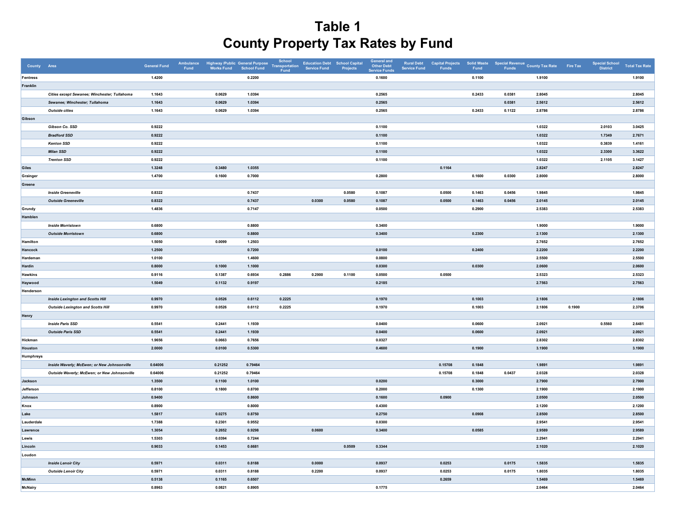| County Area      |                                              | <b>General Fund</b> | Ambulance<br>Fund | Highway /Public General Purpose<br>Works Fund School Fund |         | School<br>Transportation<br>Fund | Education Debt School Capital<br>Service Fund Projects |        | <b>General and</b><br><b>Other Debt</b><br><b>Service Funds</b> | <b>Rural Debt</b><br><b>Service Fund</b> | <b>Capital Projects<br/>Funds</b> | <b>Solid Waste</b><br>Fund |        | Special Revenue<br>Funds County Tax Rate | Fire Tax | <b>Special School</b><br>District | <b>Total Tax Rate</b> |
|------------------|----------------------------------------------|---------------------|-------------------|-----------------------------------------------------------|---------|----------------------------------|--------------------------------------------------------|--------|-----------------------------------------------------------------|------------------------------------------|-----------------------------------|----------------------------|--------|------------------------------------------|----------|-----------------------------------|-----------------------|
| Fentress         |                                              | 1.4200              |                   |                                                           | 0.2200  |                                  |                                                        |        | 0.1600                                                          |                                          |                                   | 0.1100                     |        | 1.9100                                   |          |                                   | 1.9100                |
| Franklin         |                                              |                     |                   |                                                           |         |                                  |                                                        |        |                                                                 |                                          |                                   |                            |        |                                          |          |                                   |                       |
|                  | Cities except Sewanee; Winchester; Tullahoma | 1.1643              |                   | 0.0629                                                    | 1.0394  |                                  |                                                        |        | 0.2565                                                          |                                          |                                   | 0.2433                     | 0.0381 | 2.8045                                   |          |                                   | 2.8045                |
|                  | Sewanee; Winchester; Tullahoma               | 1.1643              |                   | 0.0629                                                    | 1.0394  |                                  |                                                        |        | 0.2565                                                          |                                          |                                   |                            | 0.0381 | 2.5612                                   |          |                                   | 2.5612                |
|                  | <b>Outside cities</b>                        | 1.1643              |                   | 0.0629                                                    | 1.0394  |                                  |                                                        |        | 0.2565                                                          |                                          |                                   | 0.2433                     | 0.1122 | 2.8786                                   |          |                                   | 2.8786                |
| Gibson           |                                              |                     |                   |                                                           |         |                                  |                                                        |        |                                                                 |                                          |                                   |                            |        |                                          |          |                                   |                       |
|                  | Gibson Co. SSD                               | 0.9222              |                   |                                                           |         |                                  |                                                        |        | 0.1100                                                          |                                          |                                   |                            |        | 1.0322                                   |          | 2.0103                            | 3.0425                |
|                  | <b>Bradford SSD</b>                          | 0.9222              |                   |                                                           |         |                                  |                                                        |        | 0.1100                                                          |                                          |                                   |                            |        | 1.0322                                   |          | 1.7349                            | 2.7671                |
|                  | <b>Kenton SSD</b>                            | 0.9222              |                   |                                                           |         |                                  |                                                        |        | 0.1100                                                          |                                          |                                   |                            |        | 1.0322                                   |          | 0.3839                            | 1.4161                |
|                  | <b>Milan SSD</b>                             | 0.9222              |                   |                                                           |         |                                  |                                                        |        | 0.1100                                                          |                                          |                                   |                            |        | 1.0322                                   |          | 2.3300                            | 3.3622                |
|                  | <b>Trenton SSD</b>                           | 0.9222              |                   |                                                           |         |                                  |                                                        |        | 0.1100                                                          |                                          |                                   |                            |        | 1.0322                                   |          | 2.1105                            | 3.1427                |
| Giles            |                                              | 1.3248              |                   | 0.3480                                                    | 1.0355  |                                  |                                                        |        |                                                                 |                                          | 0.1164                            |                            |        | 2.8247                                   |          |                                   | 2.8247                |
| Grainger         |                                              | 1.4700              |                   | 0.1600                                                    | 0.7000  |                                  |                                                        |        | 0.2800                                                          |                                          |                                   | 0.1600                     | 0.0300 | 2.8000                                   |          |                                   | 2.8000                |
| Greene           |                                              |                     |                   |                                                           |         |                                  |                                                        |        |                                                                 |                                          |                                   |                            |        |                                          |          |                                   |                       |
|                  | <b>Inside Greeneville</b>                    | 0.8322              |                   |                                                           | 0.7437  |                                  |                                                        | 0.0580 | 0.1087                                                          |                                          | 0.0500                            | 0.1463                     | 0.0456 | 1.9845                                   |          |                                   | 1.9845                |
|                  | <b>Outside Greeneville</b>                   | 0.8322              |                   |                                                           | 0.7437  |                                  | 0.0300                                                 | 0.0580 | 0.1087                                                          |                                          | 0.0500                            | 0.1463                     | 0.0456 | 2.0145                                   |          |                                   | 2.0145                |
| Grundy           |                                              | 1.4836              |                   |                                                           | 0.7147  |                                  |                                                        |        | 0.0500                                                          |                                          |                                   | 0.2900                     |        | 2.5383                                   |          |                                   | 2.5383                |
| Hamblen          |                                              |                     |                   |                                                           |         |                                  |                                                        |        |                                                                 |                                          |                                   |                            |        |                                          |          |                                   |                       |
|                  | <b>Inside Morristown</b>                     | 0.6800              |                   |                                                           | 0.8800  |                                  |                                                        |        | 0.3400                                                          |                                          |                                   |                            |        | 1.9000                                   |          |                                   | 1.9000                |
|                  | <b>Outside Morristown</b>                    | 0.6800              |                   |                                                           | 0.8800  |                                  |                                                        |        | 0.3400                                                          |                                          |                                   | 0.2300                     |        | 2.1300                                   |          |                                   | 2.1300                |
| Hamilton         |                                              | 1.5050              |                   | 0.0099                                                    | 1.2503  |                                  |                                                        |        |                                                                 |                                          |                                   |                            |        | 2.7652                                   |          |                                   | 2.7652                |
| Hancock          |                                              | 1.2500              |                   |                                                           | 0.7200  |                                  |                                                        |        | 0.0100                                                          |                                          |                                   | 0.2400                     |        | 2.2200                                   |          |                                   | 2.2200                |
| Hardeman         |                                              | 1.0100              |                   |                                                           | 1.4600  |                                  |                                                        |        | 0.0800                                                          |                                          |                                   |                            |        | 2.5500                                   |          |                                   | 2.5500                |
| <b>Hardin</b>    |                                              | 0.8000              |                   | 0.1000                                                    | 1.1000  |                                  |                                                        |        | 0.0300                                                          |                                          |                                   | 0.0300                     |        | 2.0600                                   |          |                                   | 2.0600                |
| <b>Hawkins</b>   |                                              | 0.9116              |                   | 0.1387                                                    | 0.6934  | 0.2886                           | 0.2900                                                 | 0.1100 | 0.0500                                                          |                                          | 0.0500                            |                            |        | 2.5323                                   |          |                                   | 2.5323                |
| Haywood          |                                              | 1.5049              |                   | 0.1132                                                    | 0.9197  |                                  |                                                        |        | 0.2185                                                          |                                          |                                   |                            |        | 2.7563                                   |          |                                   | 2.7563                |
| Henderson        |                                              |                     |                   |                                                           |         |                                  |                                                        |        |                                                                 |                                          |                                   |                            |        |                                          |          |                                   |                       |
|                  | <b>Inside Lexington and Scotts Hill</b>      | 0.9970              |                   | 0.0526                                                    | 0.6112  | 0.2225                           |                                                        |        | 0.1970                                                          |                                          |                                   | 0.1003                     |        | 2.1806                                   |          |                                   | 2.1806                |
|                  | <b>Outside Lexington and Scotts Hill</b>     | 0.9970              |                   | 0.0526                                                    | 0.6112  | 0.2225                           |                                                        |        | 0.1970                                                          |                                          |                                   | 0.1003                     |        | 2.1806                                   | 0.1900   |                                   | 2.3706                |
| Henry            |                                              |                     |                   |                                                           |         |                                  |                                                        |        |                                                                 |                                          |                                   |                            |        |                                          |          |                                   |                       |
|                  | <b>Inside Paris SSD</b>                      | 0.5541              |                   | 0.2441                                                    | 1.1939  |                                  |                                                        |        | 0.0400                                                          |                                          |                                   | 0.0600                     |        | 2.0921                                   |          | 0.5560                            | 2.6481                |
|                  | <b>Outside Paris SSD</b>                     | 0.5541              |                   | 0.2441                                                    | 1.1939  |                                  |                                                        |        | 0.0400                                                          |                                          |                                   | 0.0600                     |        | 2.0921                                   |          |                                   | 2.0921                |
| Hickman          |                                              | 1.9656              |                   | 0.0663                                                    | 0.7656  |                                  |                                                        |        | 0.0327                                                          |                                          |                                   |                            |        | 2.8302                                   |          |                                   | 2.8302                |
| Houston          |                                              | 2.0000              |                   | 0.0100                                                    | 0.5300  |                                  |                                                        |        | 0.4600                                                          |                                          |                                   | 0.1900                     |        | 3.1900                                   |          |                                   | 3.1900                |
| <b>Humphreys</b> |                                              |                     |                   |                                                           |         |                                  |                                                        |        |                                                                 |                                          |                                   |                            |        |                                          |          |                                   |                       |
|                  | Inside Waverly; McEwen; or New Johnsonville  | 0.64006             |                   | 0.21252                                                   | 0.79464 |                                  |                                                        |        |                                                                 |                                          | 0.15708                           | 0.1848                     |        | 1.9891                                   |          |                                   | 1.9891                |
|                  | Outside Waverly; McEwen; or New Johnsonville | 0.64006             |                   | 0.21252                                                   | 0.79464 |                                  |                                                        |        |                                                                 |                                          | 0.15708                           | 0.1848                     | 0.0437 | 2.0328                                   |          |                                   | 2.0328                |
| Jackson          |                                              | 1.3500              |                   | 0.1100                                                    | 1.0100  |                                  |                                                        |        | 0.0200                                                          |                                          |                                   | 0.3000                     |        | 2.7900                                   |          |                                   | 2.7900                |
| Jefferson        |                                              | 0.8100              |                   | 0.1800                                                    | 0.8700  |                                  |                                                        |        | 0.2000                                                          |                                          |                                   | 0.1300                     |        | 2.1900                                   |          |                                   | 2.1900                |
| Johnson          |                                              | 0.9400              |                   |                                                           | 0.8600  |                                  |                                                        |        | 0.1600                                                          |                                          | 0.0900                            |                            |        | 2.0500                                   |          |                                   | 2.0500                |
| Knox             |                                              | 0.8900              |                   |                                                           | 0.8000  |                                  |                                                        |        | 0.4300                                                          |                                          |                                   |                            |        | 2.1200                                   |          |                                   | 2.1200                |
| Lake             |                                              | 1.5817              |                   | 0.0275                                                    | 0.8750  |                                  |                                                        |        | 0.2750                                                          |                                          |                                   | 0.0908                     |        | 2.8500                                   |          |                                   | 2.8500                |
| Lauderdale       |                                              | 1.7388              |                   | 0.2301                                                    | 0.9552  |                                  |                                                        |        | 0.0300                                                          |                                          |                                   |                            |        | 2.9541                                   |          |                                   | 2.9541                |
| Lawrence         |                                              | 1.3054              |                   | 0.2652                                                    | 0.9298  |                                  | 0.0600                                                 |        | 0.3400                                                          |                                          |                                   | 0.0585                     |        | 2.9589                                   |          |                                   | 2.9589                |
| Lewis            |                                              | 1.5303              |                   | 0.0394                                                    | 0.7244  |                                  |                                                        |        |                                                                 |                                          |                                   |                            |        | 2.2941                                   |          |                                   | 2.2941                |
| Lincoln          |                                              | 0.9033              |                   | 0.1453                                                    | 0.6681  |                                  |                                                        | 0.0509 | 0.3344                                                          |                                          |                                   |                            |        | 2.1020                                   |          |                                   | 2.1020                |
| Loudon           |                                              |                     |                   |                                                           |         |                                  |                                                        |        |                                                                 |                                          |                                   |                            |        |                                          |          |                                   |                       |
|                  | <b>Inside Lenoir City</b>                    | 0.5971              |                   | 0.0311                                                    | 0.8188  |                                  | 0.0000                                                 |        | 0.0937                                                          |                                          | 0.0253                            |                            | 0.0175 | 1.5835                                   |          |                                   | 1.5835                |
|                  | <b>Outside Lenoir City</b>                   | 0.5971              |                   | 0.0311                                                    | 0.8188  |                                  | 0.2200                                                 |        | 0.0937                                                          |                                          | 0.0253                            |                            | 0.0175 | 1.8035                                   |          |                                   | 1.8035                |
| <b>McMinn</b>    |                                              | 0.5138              |                   | 0.1165                                                    | 0.6507  |                                  |                                                        |        |                                                                 |                                          | 0.2659                            |                            |        | 1.5469                                   |          |                                   | 1.5469                |
| <b>McNairy</b>   |                                              | 0.8963              |                   | 0.0821                                                    | 0.8905  |                                  |                                                        |        | 0.1775                                                          |                                          |                                   |                            |        | 2.0464                                   |          |                                   | 2.0464                |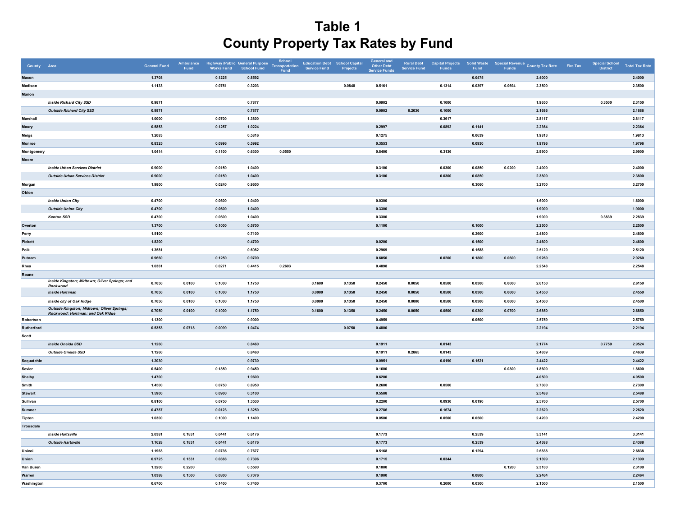| County Area    |                                                           | <b>General Fund</b> | Ambulance<br>Fund | Highway /Public General Purpose<br>Works Fund School Fund |        | School<br><b>Transportation</b><br>Fund | <b>Education Debt School Capital</b><br><b>Service Fund</b> | Projects | <b>General and</b><br><b>Other Debt</b><br><b>Service Funds</b> | <b>Rural Debt</b><br><b>Service Fund</b> | <b>Capital Projects</b><br>Funds | <b>Solid Waste</b><br>Fund | <b>Funds</b> | Special Revenue County Tax Rate | Fire Tax | <b>Special School</b><br>District | <b>Total Tax Rate</b> |
|----------------|-----------------------------------------------------------|---------------------|-------------------|-----------------------------------------------------------|--------|-----------------------------------------|-------------------------------------------------------------|----------|-----------------------------------------------------------------|------------------------------------------|----------------------------------|----------------------------|--------------|---------------------------------|----------|-----------------------------------|-----------------------|
| Macon          |                                                           | 1.3708              |                   | 0.1225                                                    | 0.8592 |                                         |                                                             |          |                                                                 |                                          |                                  | 0.0475                     |              | 2.4000                          |          |                                   | 2.4000                |
| Madison        |                                                           | 1.1133              |                   | 0.0751                                                    | 0.3203 |                                         |                                                             | 0.0848   | 0.5161                                                          |                                          | 0.1314                           | 0.0397                     | 0.0694       | 2.3500                          |          |                                   | 2.3500                |
| <b>Marion</b>  |                                                           |                     |                   |                                                           |        |                                         |                                                             |          |                                                                 |                                          |                                  |                            |              |                                 |          |                                   |                       |
|                | <b>Inside Richard City SSD</b>                            | 0.9871              |                   |                                                           | 0.7877 |                                         |                                                             |          | 0.0902                                                          |                                          | 0.1000                           |                            |              | 1.9650                          |          | 0.3500                            | 2.3150                |
|                | <b>Outside Richard City SSD</b>                           | 0.9871              |                   |                                                           | 0.7877 |                                         |                                                             |          | 0.0902                                                          | 0.2036                                   | 0.1000                           |                            |              | 2.1686                          |          |                                   | 2.1686                |
| Marshall       |                                                           | 1.0000              |                   | 0.0700                                                    | 1.3800 |                                         |                                                             |          |                                                                 |                                          | 0.3617                           |                            |              | 2.8117                          |          |                                   | 2.8117                |
| Maury          |                                                           | 0.5853              |                   | 0.1257                                                    | 1.0224 |                                         |                                                             |          | 0.2997                                                          |                                          | 0.0892                           | 0.1141                     |              | 2.2364                          |          |                                   | 2.2364                |
| Meigs          |                                                           | 1.2083              |                   |                                                           | 0.5816 |                                         |                                                             |          | 0.1275                                                          |                                          |                                  | 0.0639                     |              | 1.9813                          |          |                                   | 1.9813                |
| Monroe         |                                                           | 0.8325              |                   | 0.0996                                                    | 0.5992 |                                         |                                                             |          | 0.3553                                                          |                                          |                                  | 0.0930                     |              | 1.9796                          |          |                                   | 1.9796                |
| Montgomery     |                                                           | 1.0414              |                   | 0.1100                                                    | 0.6300 | 0.0550                                  |                                                             |          | 0.8400                                                          |                                          | 0.3136                           |                            |              | 2.9900                          |          |                                   | 2.9900                |
| Moore          |                                                           |                     |                   |                                                           |        |                                         |                                                             |          |                                                                 |                                          |                                  |                            |              |                                 |          |                                   |                       |
|                | <b>Inside Urban Services District</b>                     | 0.9000              |                   | 0.0150                                                    | 1.0400 |                                         |                                                             |          | 0.3100                                                          |                                          | 0.0300                           | 0.0850                     | 0.0200       | 2.4000                          |          |                                   | 2.4000                |
|                | <b>Outside Urban Services District</b>                    | 0.9000              |                   | 0.0150                                                    | 1.0400 |                                         |                                                             |          | 0.3100                                                          |                                          | 0.0300                           | 0.0850                     |              | 2.3800                          |          |                                   | 2.3800                |
| Morgan         |                                                           | 1.9800              |                   | 0.0240                                                    | 0.9600 |                                         |                                                             |          |                                                                 |                                          |                                  | 0.3060                     |              | 3.2700                          |          |                                   | 3.2700                |
| Obion          |                                                           |                     |                   |                                                           |        |                                         |                                                             |          |                                                                 |                                          |                                  |                            |              |                                 |          |                                   |                       |
|                | <b>Inside Union City</b>                                  | 0.4700              |                   | 0.0600                                                    | 1.0400 |                                         |                                                             |          | 0.0300                                                          |                                          |                                  |                            |              | 1.6000                          |          |                                   | 1.6000                |
|                | <b>Outside Union City</b>                                 | 0.4700              |                   | 0.0600                                                    | 1.0400 |                                         |                                                             |          | 0.3300                                                          |                                          |                                  |                            |              | 1.9000                          |          |                                   | 1.9000                |
|                | <b>Kenton SSD</b>                                         | 0.4700              |                   | 0.0600                                                    | 1.0400 |                                         |                                                             |          | 0.3300                                                          |                                          |                                  |                            |              | 1.9000                          |          | 0.3839                            | 2.2839                |
| Overton        |                                                           | 1.3700              |                   | 0.1000                                                    | 0.5700 |                                         |                                                             |          | 0.1100                                                          |                                          |                                  | 0.1000                     |              | 2.2500                          |          |                                   | 2.2500                |
| Perry          |                                                           | 1.5100              |                   |                                                           | 0.7100 |                                         |                                                             |          |                                                                 |                                          |                                  | 0.2600                     |              | 2.4800                          |          |                                   | 2.4800                |
| Pickett        |                                                           | 1.8200              |                   |                                                           | 0.4700 |                                         |                                                             |          | 0.0200                                                          |                                          |                                  | 0.1500                     |              | 2.4600                          |          |                                   | 2.4600                |
| Polk           |                                                           | 1.3581              |                   |                                                           | 0.6982 |                                         |                                                             |          | 0.2969                                                          |                                          |                                  | 0.1588                     |              | 2.5120                          |          |                                   | 2.5120                |
| Putnam         |                                                           | 0.9660              |                   | 0.1250                                                    | 0.9700 |                                         |                                                             |          | 0.6050                                                          |                                          | 0.0200                           | 0.1800                     | 0.0600       | 2.9260                          |          |                                   | 2.9260                |
| Rhea           |                                                           | 1.0361              |                   | 0.0271                                                    | 0.4415 | 0.2603                                  |                                                             |          | 0.4898                                                          |                                          |                                  |                            |              | 2.2548                          |          |                                   | 2.2548                |
| Roane          |                                                           |                     |                   |                                                           |        |                                         |                                                             |          |                                                                 |                                          |                                  |                            |              |                                 |          |                                   |                       |
|                | Inside Kingston; Midtown; Oliver Springs; and<br>Rockwood | 0.7050              | 0.0100            | 0.1000                                                    | 1.1750 |                                         | 0.1600                                                      | 0.1350   | 0.2450                                                          | 0.0050                                   | 0.0500                           | 0.0300                     | 0.0000       | 2.6150                          |          |                                   | 2.6150                |
|                | <b>Inside Harriman</b>                                    | 0.7050              | 0.0100            | 0.1000                                                    | 1.1750 |                                         | 0.0000                                                      | 0.1350   | 0.2450                                                          | 0.0050                                   | 0.0500                           | 0.0300                     | 0.0000       | 2.4550                          |          |                                   | 2.4550                |
|                | Inside city of Oak Ridge                                  | 0.7050              | 0.0100            | 0.1000                                                    | 1.1750 |                                         | 0.0000                                                      | 0.1350   | 0.2450                                                          | 0.0000                                   | 0.0500                           | 0.0300                     | 0.0000       | 2.4500                          |          |                                   | 2.4500                |
|                | Outside Kingston; Midtown; Oliver Springs;                | 0.7050              | 0.0100            | 0.1000                                                    | 1.1750 |                                         | 0.1600                                                      | 0.1350   | 0.2450                                                          | 0.0050                                   | 0.0500                           | 0.0300                     | 0.0700       | 2.6850                          |          |                                   | 2.6850                |
| Robertson      | Rockwood; Harriman; and Oak Ridge                         | 1.1300              |                   |                                                           | 0.9000 |                                         |                                                             |          | 0.4959                                                          |                                          |                                  | 0.0500                     |              | 2.5759                          |          |                                   | 2.5759                |
| Rutherford     |                                                           | 0.5353              | 0.0718            | 0.0099                                                    | 1.0474 |                                         |                                                             | 0.0750   | 0.4800                                                          |                                          |                                  |                            |              | 2.2194                          |          |                                   | 2.2194                |
| Scott          |                                                           |                     |                   |                                                           |        |                                         |                                                             |          |                                                                 |                                          |                                  |                            |              |                                 |          |                                   |                       |
|                | <b>Inside Oneida SSD</b>                                  | 1.1260              |                   |                                                           | 0.8460 |                                         |                                                             |          | 0.1911                                                          |                                          | 0.0143                           |                            |              | 2.1774                          |          | 0.7750                            | 2.9524                |
|                | Outside Oneida SSD                                        | 1.1260              |                   |                                                           | 0.8460 |                                         |                                                             |          | 0.1911                                                          | 0.2865                                   | 0.0143                           |                            |              | 2.4639                          |          |                                   | 2.4639                |
| Sequatchie     |                                                           | 1.2030              |                   |                                                           | 0.9730 |                                         |                                                             |          | 0.0951                                                          |                                          | 0.0190                           | 0.1521                     |              | 2.4422                          |          |                                   | 2.4422                |
| Sevier         |                                                           | 0.5400              |                   | 0.1850                                                    | 0.9450 |                                         |                                                             |          | 0.1600                                                          |                                          |                                  |                            | 0.0300       | 1.8600                          |          |                                   | 1.8600                |
| Shelby         |                                                           | 1.4700              |                   |                                                           | 1.9600 |                                         |                                                             |          | 0.6200                                                          |                                          |                                  |                            |              | 4.0500                          |          |                                   | 4.0500                |
| Smith          |                                                           | 1.4500              |                   | 0.0750                                                    | 0.8950 |                                         |                                                             |          | 0.2600                                                          |                                          | 0.0500                           |                            |              | 2.7300                          |          |                                   | 2.7300                |
| <b>Stewart</b> |                                                           | 1.5900              |                   | 0.0900                                                    | 0.3100 |                                         |                                                             |          | 0.5588                                                          |                                          |                                  |                            |              | 2.5488                          |          |                                   | 2.5488                |
| Sullivan       |                                                           | 0.8100              |                   | 0.0750                                                    | 1.3530 |                                         |                                                             |          | 0.2200                                                          |                                          | 0.0930                           | 0.0190                     |              | 2.5700                          |          |                                   | 2.5700                |
| Sumner         |                                                           | 0.4787              |                   | 0.0123                                                    | 1.3250 |                                         |                                                             |          | 0.2786                                                          |                                          | 0.1674                           |                            |              | 2.2620                          |          |                                   | 2.2620                |
| <b>Tipton</b>  |                                                           | 1.0300              |                   | 0.1000                                                    | 1.1400 |                                         |                                                             |          | 0.0500                                                          |                                          | 0.0500                           | 0.0500                     |              | 2.4200                          |          |                                   | 2.4200                |
| Trousdale      |                                                           |                     |                   |                                                           |        |                                         |                                                             |          |                                                                 |                                          |                                  |                            |              |                                 |          |                                   |                       |
|                | <b>Inside Hartsville</b>                                  | 2.0381              | 0.1831            | 0.0441                                                    | 0.6176 |                                         |                                                             |          | 0.1773                                                          |                                          |                                  | 0.2539                     |              | 3.3141                          |          |                                   | 3.3141                |
|                | <b>Outside Hartsville</b>                                 | 1.1628              | 0.1831            | 0.0441                                                    | 0.6176 |                                         |                                                             |          | 0.1773                                                          |                                          |                                  | 0.2539                     |              | 2.4388                          |          |                                   | 2.4388                |
| Unicoi         |                                                           | 1.1963              |                   | 0.0736                                                    | 0.7677 |                                         |                                                             |          | 0.5168                                                          |                                          |                                  | 0.1294                     |              | 2.6838                          |          |                                   | 2.6838                |
| <b>Union</b>   |                                                           | 0.9725              | 0.1331            | 0.0888                                                    | 0.7396 |                                         |                                                             |          | 0.1715                                                          |                                          | 0.0344                           |                            |              | 2.1399                          |          |                                   | 2.1399                |
| Van Buren      |                                                           | 1.3200              | 0.2200            |                                                           | 0.5500 |                                         |                                                             |          | 0.1000                                                          |                                          |                                  |                            | 0.1200       | 2.3100                          |          |                                   | 2.3100                |
| Warren         |                                                           | 1.0388              | 0.1500            | 0.0800                                                    | 0.7076 |                                         |                                                             |          | 0.1900                                                          |                                          |                                  | 0.0800                     |              | 2.2464                          |          |                                   | 2.2464                |
| Washington     |                                                           | 0.6700              |                   | 0.1400                                                    | 0.7400 |                                         |                                                             |          | 0.3700                                                          |                                          | 0.2000                           | 0.0300                     |              | 2.1500                          |          |                                   | 2.1500                |
|                |                                                           |                     |                   |                                                           |        |                                         |                                                             |          |                                                                 |                                          |                                  |                            |              |                                 |          |                                   |                       |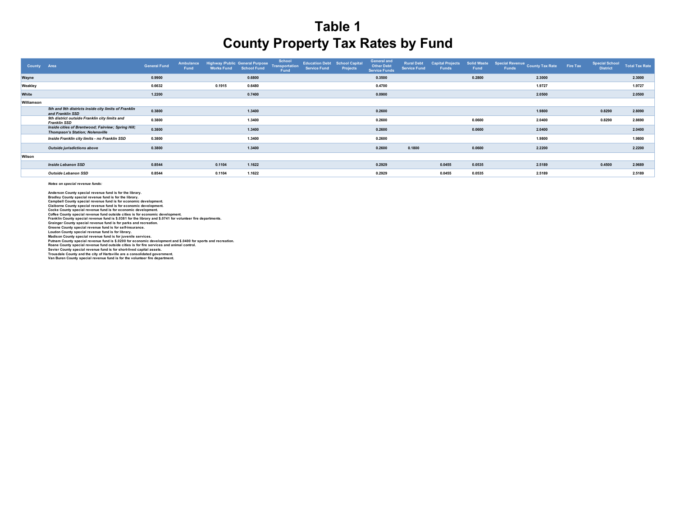| County     | Area                                                                                         | <b>General Fund</b> | Ambulance<br>Fund | Highway /Public General Purpose<br><b>Works Fund</b> | <b>School Fund</b> | School<br>Transportation<br><b>Fund</b> | <b>Education Debt School Capital</b><br><b>Service Fund</b> | Projects | <b>General and</b><br><b>Other Debt</b><br><b>Service Funds</b> | <b>Rural Debt</b><br><b>Service Fund</b> | Capital Projects<br><b>Funds</b> | Fund   | Solid Waste Special Revenue County Tax Rate Fire Tax<br><b>Funds</b> | <b>Special School</b><br><b>District</b> | <b>Total Tax Rate</b> |
|------------|----------------------------------------------------------------------------------------------|---------------------|-------------------|------------------------------------------------------|--------------------|-----------------------------------------|-------------------------------------------------------------|----------|-----------------------------------------------------------------|------------------------------------------|----------------------------------|--------|----------------------------------------------------------------------|------------------------------------------|-----------------------|
| Wayne      |                                                                                              | 0.9900              |                   |                                                      | 0.6800             |                                         |                                                             |          | 0.3500                                                          |                                          |                                  | 0.2800 | 2.3000                                                               |                                          | 2.3000                |
| Weakley    |                                                                                              | 0.6632              |                   | 0.1915                                               | 0.6480             |                                         |                                                             |          | 0.4700                                                          |                                          |                                  |        | 1.9727                                                               |                                          | 1.9727                |
| White      |                                                                                              | 1.2200              |                   |                                                      | 0.7400             |                                         |                                                             |          | 0.0900                                                          |                                          |                                  |        | 2.0500                                                               |                                          | 2.0500                |
| Williamson |                                                                                              |                     |                   |                                                      |                    |                                         |                                                             |          |                                                                 |                                          |                                  |        |                                                                      |                                          |                       |
|            | 5th and 9th districts inside city limits of Franklin<br>and Franklin SSD                     | 0.3800              |                   |                                                      | 1.3400             |                                         |                                                             |          | 0.2600                                                          |                                          |                                  |        | 1.9800                                                               | 0.8290                                   | 2.8090                |
|            | 9th district outside Franklin city limits and<br><b>Franklin SSD</b>                         | 0.3800              |                   |                                                      | 1.3400             |                                         |                                                             |          | 0.2600                                                          |                                          |                                  | 0.0600 | 2.0400                                                               | 0.8290                                   | 2.8690                |
|            | Inside cities of Brentwood; Fairview; Spring Hill;<br><b>Thompson's Station: Nolensville</b> | 0.3800              |                   |                                                      | 1.3400             |                                         |                                                             |          | 0.2600                                                          |                                          |                                  | 0.0600 | 2.0400                                                               |                                          | 2.0400                |
|            | Inside Franklin city limits - no Franklin SSD                                                | 0.3800              |                   |                                                      | 1.3400             |                                         |                                                             |          | 0.2600                                                          |                                          |                                  |        | 1.9800                                                               |                                          | 1.9800                |
|            | Outside jurisdictions above                                                                  | 0.3800              |                   |                                                      | 1.3400             |                                         |                                                             |          | 0.2600                                                          | 0.1800                                   |                                  | 0.0600 | 2.2200                                                               |                                          | 2.2200                |
| Wilson     |                                                                                              |                     |                   |                                                      |                    |                                         |                                                             |          |                                                                 |                                          |                                  |        |                                                                      |                                          |                       |
|            | <b>Inside Lebanon SSD</b>                                                                    | 0.8544              |                   | 0.1104                                               | 1.1622             |                                         |                                                             |          | 0.2929                                                          |                                          | 0.0455                           | 0.0535 | 2.5189                                                               | 0.4500                                   | 2.9689                |
|            | Outside Lebanon SSD                                                                          | 0.8544              |                   | 0.1104                                               | 1.1622             |                                         |                                                             |          | 0.2929                                                          |                                          | 0.0455                           | 0.0535 | 2.5189                                                               |                                          | 2.5189                |

*Notes on special revenue funds:*

**Greene County special revenue fund is for self-insurance. Loudon County special revenue fund is for library. Madison County special revenue fund is for juvenile services. Sevier County special revenue fund is for short-lived capital assets. Trousdale County and the city of Hartsville are a consolidated government. Van Buren County special revenue fund is for the volunteer fire department. Putnam County special revenue fund is \$.0200 for economic development and \$.0400 for sports and recreation. Roane County special revenue fund outside cities is for fire services and animal control.** Cocke County special revenue fund is for economic development.<br>Coffee County special revenue fund outside cities is for economic development.<br>Franklin County special revenue fund is \$.0381 for the library and \$.0741 for vo **Grainger County special revenue fund is for parks and recreation. Bradley County special revenue fund is for the library. Campbell County special revenue fund is for economic development. Anderson County special revenue fund is for the library. Claiborne County special revenue fund is for economic development.**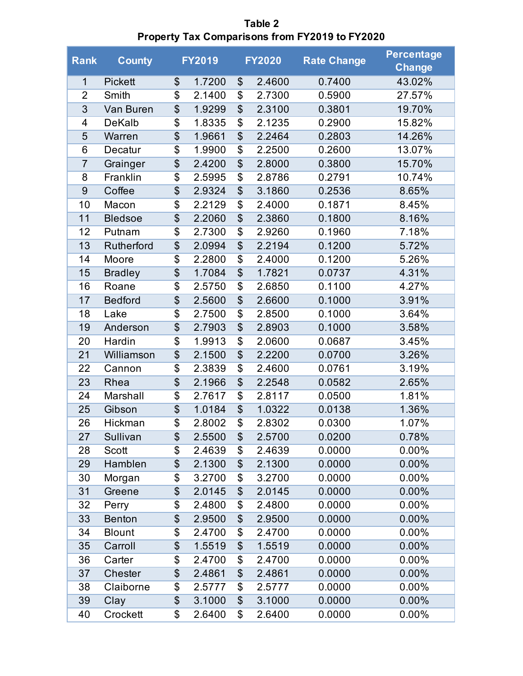| <b>Rank</b>    | <b>County</b>  |                 | <b>FY2019</b> |                          | <b>FY2020</b> | <b>Rate Change</b> | <b>Percentage</b><br><b>Change</b> |
|----------------|----------------|-----------------|---------------|--------------------------|---------------|--------------------|------------------------------------|
| $\mathbf 1$    | <b>Pickett</b> | \$              | 1.7200        | \$                       | 2.4600        | 0.7400             | 43.02%                             |
| $\overline{2}$ | Smith          | \$              | 2.1400        | \$                       | 2.7300        | 0.5900             | 27.57%                             |
| 3              | Van Buren      | $\overline{\$}$ | 1.9299        | \$                       | 2.3100        | 0.3801             | 19.70%                             |
| 4              | <b>DeKalb</b>  | $\overline{\$}$ | 1.8335        | \$                       | 2.1235        | 0.2900             | 15.82%                             |
| 5              | Warren         | $\overline{\$}$ | 1.9661        | \$                       | 2.2464        | 0.2803             | 14.26%                             |
| 6              | Decatur        | \$              | 1.9900        | \$                       | 2.2500        | 0.2600             | 13.07%                             |
| $\overline{7}$ | Grainger       | $\overline{\$}$ | 2.4200        | $\overline{\$}$          | 2.8000        | 0.3800             | 15.70%                             |
| 8              | Franklin       | \$              | 2.5995        | \$                       | 2.8786        | 0.2791             | 10.74%                             |
| 9              | Coffee         | $\overline{\$}$ | 2.9324        | $\overline{\$}$          | 3.1860        | 0.2536             | 8.65%                              |
| 10             | Macon          | \$              | 2.2129        | \$                       | 2.4000        | 0.1871             | 8.45%                              |
| 11             | <b>Bledsoe</b> | $\overline{\$}$ | 2.2060        | $\overline{\$}$          | 2.3860        | 0.1800             | 8.16%                              |
| 12             | Putnam         | \$              | 2.7300        | \$                       | 2.9260        | 0.1960             | 7.18%                              |
| 13             | Rutherford     | $\overline{\$}$ | 2.0994        | $\overline{\$}$          | 2.2194        | 0.1200             | 5.72%                              |
| 14             | Moore          | $\overline{\$}$ | 2.2800        | \$                       | 2.4000        | 0.1200             | 5.26%                              |
| 15             | <b>Bradley</b> | $\overline{\$}$ | 1.7084        | $\overline{\mathcal{S}}$ | 1.7821        | 0.0737             | 4.31%                              |
| 16             | Roane          | \$              | 2.5750        | \$                       | 2.6850        | 0.1100             | 4.27%                              |
| 17             | <b>Bedford</b> | $\overline{\$}$ | 2.5600        | $\overline{\$}$          | 2.6600        | 0.1000             | 3.91%                              |
| 18             | Lake           | \$              | 2.7500        | \$                       | 2.8500        | 0.1000             | 3.64%                              |
| 19             | Anderson       | $\overline{\$}$ | 2.7903        | $\overline{\$}$          | 2.8903        | 0.1000             | 3.58%                              |
| 20             | Hardin         | \$              | 1.9913        | \$                       | 2.0600        | 0.0687             | 3.45%                              |
| 21             | Williamson     | $\overline{\$}$ | 2.1500        | $\overline{\$}$          | 2.2200        | 0.0700             | 3.26%                              |
| 22             | Cannon         | \$              | 2.3839        | \$                       | 2.4600        | 0.0761             | 3.19%                              |
| 23             | Rhea           | $\overline{\$}$ | 2.1966        | \$                       | 2.2548        | 0.0582             | 2.65%                              |
| 24             | Marshall       | \$              | 2.7617        | \$                       | 2.8117        | 0.0500             | 1.81%                              |
| 25             | Gibson         | $\overline{\$}$ | 1.0184        | \$                       | 1.0322        | 0.0138             | 1.36%                              |
| 26             | Hickman        | $\overline{\$}$ | 2.8002        | $\overline{\$}$          | 2.8302        | 0.0300             | 1.07%                              |
| 27             | Sullivan       | \$              | 2.5500        | \$                       | 2.5700        | 0.0200             | 0.78%                              |
| 28             | Scott          | \$              | 2.4639        | \$                       | 2.4639        | 0.0000             | 0.00%                              |
| 29             | Hamblen        | $\overline{\$}$ | 2.1300        | \$                       | 2.1300        | 0.0000             | 0.00%                              |
| 30             | Morgan         | \$              | 3.2700        | \$                       | 3.2700        | 0.0000             | $0.00\%$                           |
| 31             | Greene         | $\overline{\$}$ | 2.0145        | \$                       | 2.0145        | 0.0000             | $0.00\%$                           |
| 32             | Perry          | $\overline{\$}$ | 2.4800        | \$                       | 2.4800        | 0.0000             | $0.00\%$                           |
| 33             | <b>Benton</b>  | \$              | 2.9500        | \$                       | 2.9500        | 0.0000             | $0.00\%$                           |
| 34             | <b>Blount</b>  | \$              | 2.4700        | \$                       | 2.4700        | 0.0000             | $0.00\%$                           |
| 35             | Carroll        | $\overline{\$}$ | 1.5519        | \$                       | 1.5519        | 0.0000             | 0.00%                              |
| 36             | Carter         | \$              | 2.4700        | \$                       | 2.4700        | 0.0000             | $0.00\%$                           |
| 37             | Chester        | \$              | 2.4861        | \$                       | 2.4861        | 0.0000             | 0.00%                              |
| 38             | Claiborne      | \$              | 2.5777        | \$                       | 2.5777        | 0.0000             | $0.00\%$                           |
| 39             | Clay           | \$              | 3.1000        | \$                       | 3.1000        | 0.0000             | $0.00\%$                           |
| 40             | Crockett       | \$              | 2.6400        | \$                       | 2.6400        | 0.0000             | $0.00\%$                           |

**Table 2 Property Tax Comparisons from FY2019 to FY2020**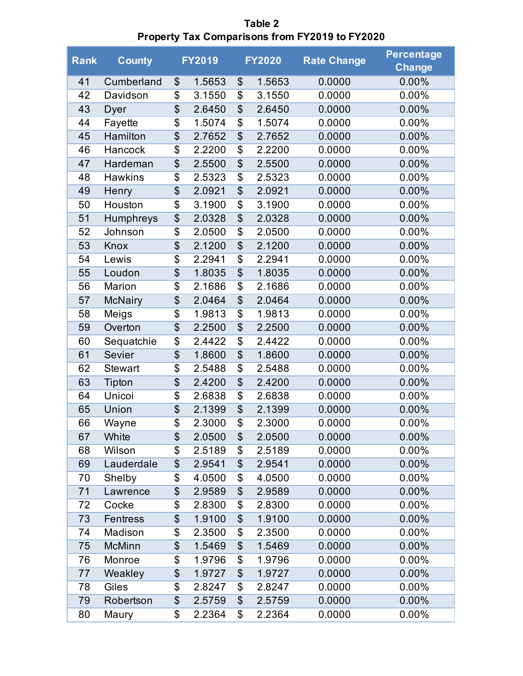| <b>Rank</b> | <b>County</b>   |                          | <b>FY2019</b> |                 | <b>FY2020</b> | <b>Rate Change</b> | <b>Percentage</b><br><b>Change</b> |
|-------------|-----------------|--------------------------|---------------|-----------------|---------------|--------------------|------------------------------------|
| 41          | Cumberland      | \$                       | 1.5653        | \$              | 1.5653        | 0.0000             | 0.00%                              |
| 42          | Davidson        | \$                       | 3.1550        | \$              | 3.1550        | 0.0000             | $0.00\%$                           |
| 43          | Dyer            | $\overline{\$}$          | 2.6450        | \$              | 2.6450        | 0.0000             | $0.00\%$                           |
| 44          | Fayette         | $\overline{\$}$          | 1.5074        | $\overline{\$}$ | 1.5074        | 0.0000             | 0.00%                              |
| 45          | Hamilton        | $\overline{\$}$          | 2.7652        | $\overline{\$}$ | 2.7652        | 0.0000             | $0.00\%$                           |
| 46          | Hancock         | $\overline{\$}$          | 2.2200        | \$              | 2.2200        | 0.0000             | 0.00%                              |
| 47          | Hardeman        | $\overline{\mathcal{L}}$ | 2.5500        | \$              | 2.5500        | 0.0000             | 0.00%                              |
| 48          | <b>Hawkins</b>  | $\overline{\$}$          | 2.5323        | \$              | 2.5323        | 0.0000             | $0.00\%$                           |
| 49          | Henry           | $\overline{\$}$          | 2.0921        | \$              | 2.0921        | 0.0000             | $0.00\%$                           |
| 50          | Houston         | $\overline{\$}$          | 3.1900        | $\overline{\$}$ | 3.1900        | 0.0000             | 0.00%                              |
| 51          | Humphreys       | $\overline{\$}$          | 2.0328        | $\overline{\$}$ | 2.0328        | 0.0000             | $0.00\%$                           |
| 52          | Johnson         | $\overline{\$}$          | 2.0500        | \$              | 2.0500        | 0.0000             | 0.00%                              |
| 53          | Knox            | $\overline{\mathcal{L}}$ | 2.1200        | \$              | 2.1200        | 0.0000             | 0.00%                              |
| 54          | Lewis           | $\overline{\$}$          | 2.2941        | \$              | 2.2941        | 0.0000             | $0.00\%$                           |
| 55          | Loudon          | $\overline{\$}$          | 1.8035        | $\overline{\$}$ | 1.8035        | 0.0000             | $0.00\%$                           |
| 56          | Marion          | $\overline{\$}$          | 2.1686        | \$              | 2.1686        | 0.0000             | $0.00\%$                           |
| 57          | <b>McNairy</b>  | $\overline{\$}$          | 2.0464        | $\overline{\$}$ | 2.0464        | 0.0000             | $0.00\%$                           |
| 58          | Meigs           | $\overline{\$}$          | 1.9813        | \$              | 1.9813        | 0.0000             | 0.00%                              |
| 59          | Overton         | $\overline{\mathcal{L}}$ | 2.2500        | \$              | 2.2500        | 0.0000             | 0.00%                              |
| 60          | Sequatchie      | $\overline{\$}$          | 2.4422        | \$              | 2.4422        | 0.0000             | $0.00\%$                           |
| 61          | Sevier          | $\overline{\$}$          | 1.8600        | $\overline{\$}$ | 1.8600        | 0.0000             | 0.00%                              |
| 62          | <b>Stewart</b>  | \$                       | 2.5488        | \$              | 2.5488        | 0.0000             | 0.00%                              |
| 63          | Tipton          | $\overline{\$}$          | 2.4200        | $\overline{\$}$ | 2.4200        | 0.0000             | $0.00\%$                           |
| 64          | Unicoi          | $\overline{\$}$          | 2.6838        | \$              | 2.6838        | 0.0000             | 0.00%                              |
| 65          | Union           | $\overline{\mathcal{L}}$ | 2.1399        | \$              | 2.1399        | 0.0000             | 0.00%                              |
| 66          | Wayne           | $\overline{\$}$          | 2.3000        | $\overline{\$}$ | 2.3000        | 0.0000             | 0.00%                              |
| 67          | White           | \$                       | 2.0500        | \$              | 2.0500        | 0.0000             | 0.00%                              |
| 68          | Wilson          | \$                       | 2.5189        | \$              | 2.5189        | 0.0000             | 0.00%                              |
| 69          | Lauderdale      | \$                       | 2.9541        | \$              | 2.9541        | 0.0000             | 0.00%                              |
| 70          | Shelby          | \$                       | 4.0500        | \$              | 4.0500        | 0.0000             | $0.00\%$                           |
| 71          | Lawrence        | $\overline{\mathcal{L}}$ | 2.9589        | \$              | 2.9589        | 0.0000             | 0.00%                              |
| 72          | Cocke           | \$                       | 2.8300        | \$              | 2.8300        | 0.0000             | $0.00\%$                           |
| 73          | <b>Fentress</b> | \$                       | 1.9100        | \$              | 1.9100        | 0.0000             | 0.00%                              |
| 74          | Madison         | \$                       | 2.3500        | \$              | 2.3500        | 0.0000             | $0.00\%$                           |
| 75          | <b>McMinn</b>   | $\overline{\$}$          | 1.5469        | \$              | 1.5469        | 0.0000             | 0.00%                              |
| 76          | Monroe          | \$                       | 1.9796        | \$              | 1.9796        | 0.0000             | $0.00\%$                           |
| 77          | Weakley         | $\overline{\mathcal{L}}$ | 1.9727        | \$              | 1.9727        | 0.0000             | $0.00\%$                           |
| 78          | Giles           | \$                       | 2.8247        | \$              | 2.8247        | 0.0000             | 0.00%                              |
| 79          | Robertson       | \$                       | 2.5759        | \$              | 2.5759        | 0.0000             | 0.00%                              |
| 80          | Maury           | \$                       | 2.2364        | \$              | 2.2364        | 0.0000             | 0.00%                              |

**Table 2 Property Tax Comparisons from FY2019 to FY2020**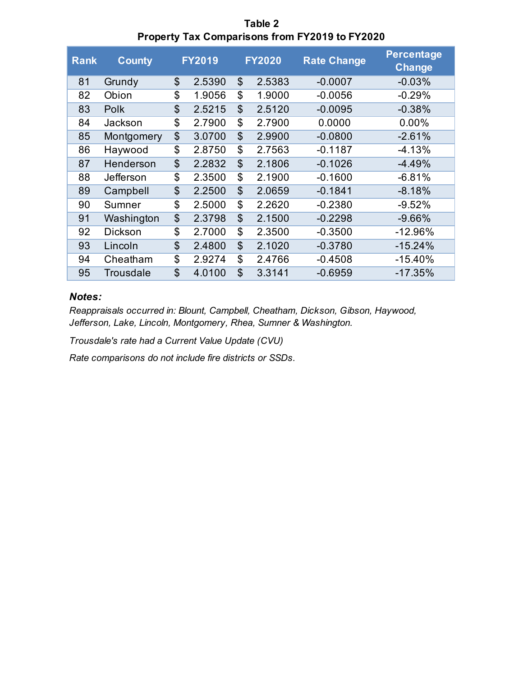| Table 2                                               |
|-------------------------------------------------------|
| <b>Property Tax Comparisons from FY2019 to FY2020</b> |

| <b>Rank</b> | <b>County</b>  |                | <b>FY2019</b> |                           | <b>FY2020</b> | <b>Rate Change</b> | <b>Percentage</b><br>Change |
|-------------|----------------|----------------|---------------|---------------------------|---------------|--------------------|-----------------------------|
| 81          | Grundy         | \$             | 2.5390        | \$                        | 2.5383        | $-0.0007$          | $-0.03%$                    |
| 82          | Obion          | \$             | 1.9056        | \$                        | 1.9000        | $-0.0056$          | $-0.29%$                    |
| 83          | <b>Polk</b>    | \$             | 2.5215        | $\boldsymbol{\mathsf{S}}$ | 2.5120        | $-0.0095$          | $-0.38%$                    |
| 84          | Jackson        | \$             | 2.7900        | \$                        | 2.7900        | 0.0000             | 0.00%                       |
| 85          | Montgomery     | \$             | 3.0700        | $\mathfrak{L}$            | 2.9900        | $-0.0800$          | $-2.61%$                    |
| 86          | Haywood        | \$             | 2.8750        | \$                        | 2.7563        | $-0.1187$          | $-4.13%$                    |
| 87          | Henderson      | $\mathfrak{S}$ | 2.2832        | $\mathfrak{S}$            | 2.1806        | $-0.1026$          | $-4.49%$                    |
| 88          | Jefferson      | \$             | 2.3500        | \$                        | 2.1900        | $-0.1600$          | $-6.81%$                    |
| 89          | Campbell       | $\mathfrak{S}$ | 2.2500        | $\mathfrak{S}$            | 2.0659        | $-0.1841$          | $-8.18%$                    |
| 90          | Sumner         | \$             | 2.5000        | \$                        | 2.2620        | $-0.2380$          | $-9.52%$                    |
| 91          | Washington     | \$             | 2.3798        | $\mathfrak{L}$            | 2.1500        | $-0.2298$          | $-9.66%$                    |
| 92          | <b>Dickson</b> | \$             | 2.7000        | \$                        | 2.3500        | $-0.3500$          | $-12.96%$                   |
| 93          | Lincoln        | $\mathfrak{S}$ | 2.4800        | $\mathfrak{L}$            | 2.1020        | $-0.3780$          | $-15.24%$                   |
| 94          | Cheatham       | \$             | 2.9274        | \$                        | 2.4766        | $-0.4508$          | $-15.40%$                   |
| 95          | Trousdale      | $\mathfrak{L}$ | 4.0100        | $\mathfrak{L}$            | 3.3141        | $-0.6959$          | $-17.35%$                   |

#### *Notes:*

*Reappraisals occurred in: Blount, Campbell, Cheatham, Dickson, Gibson, Haywood, Jefferson, Lake, Lincoln, Montgomery, Rhea, Sumner & Washington.* 

*Trousdale's rate had a Current Value Update (CVU)* 

*Rate comparisons do not include fire districts or SSDs.*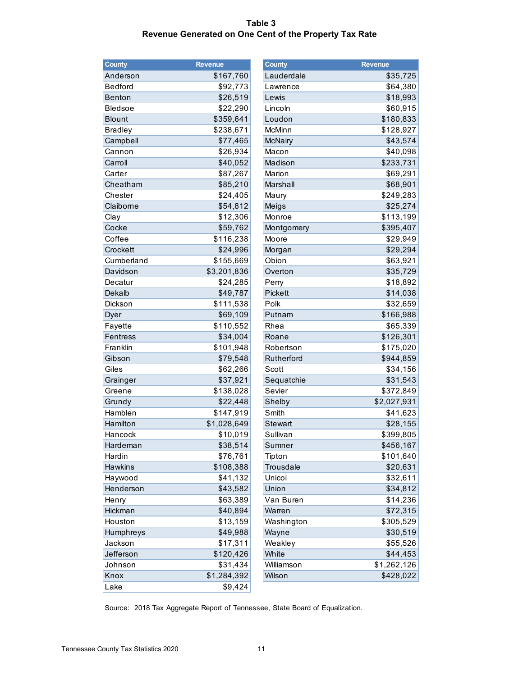#### **Table 3 Revenue Generated on One Cent of the Property Tax Rate**

| <b>County</b>  | Revenue     | <b>County</b>  | <b>Revenue</b> |
|----------------|-------------|----------------|----------------|
| Anderson       | \$167,760   | Lauderdale     | Ş              |
| <b>Bedford</b> | \$92,773    | Lawrence       | $\frac{4}{3}$  |
| <b>Benton</b>  | \$26,519    | Lewis          | \$             |
| <b>Bledsoe</b> | \$22,290    | Lincoln        | \$             |
| <b>Blount</b>  | \$359,641   | Loudon         | \$1            |
| <b>Bradley</b> | \$238,671   | McMinn         | \$1            |
| Campbell       | \$77,465    | <b>McNairy</b> | \$             |
| Cannon         | \$26,934    | Macon          | \$             |
| Carroll        | \$40,052    | Madison        | \$2            |
| Carter         | \$87,267    | Marion         | \$             |
| Cheatham       | \$85,210    | Marshall       | \$             |
| Chester        | \$24,405    | Maury          | \$2            |
| Claiborne      | \$54,812    | Meigs          | \$             |
| Clay           | \$12,306    | Monroe         | \$1            |
| Cocke          | \$59,762    | Montgomery     | \$3            |
| Coffee         | \$116,238   | Moore          | \$             |
| Crockett       | \$24,996    | Morgan         | \$             |
| Cumberland     | \$155,669   | Obion          | $\frac{4}{3}$  |
| Davidson       | \$3,201,836 | Overton        | \$             |
| Decatur        | \$24,285    | Perry          | \$             |
| Dekalb         | \$49,787    | Pickett        | \$             |
| Dickson        | \$111,538   | Polk           | \$             |
| Dyer           | \$69,109    | Putnam         | \$1            |
| Fayette        | \$110,552   | Rhea           | \$             |
| Fentress       | \$34,004    | Roane          | \$1            |
| Franklin       | \$101,948   | Robertson      | \$1            |
| Gibson         | \$79,548    | Rutherford     | \$9            |
| Giles          | \$62,266    | Scott          | \$             |
| Grainger       | \$37,921    | Sequatchie     | \$             |
| Greene         | \$138,028   | Sevier         | \$3            |
| Grundy         | \$22,448    | Shelby         | \$2,0          |
| Hamblen        | \$147,919   | Smith          | \$             |
| Hamilton       | \$1,028,649 | Stewart        | \$             |
| Hancock        | \$10,019    | Sullivan       | \$3            |
| Hardeman       | \$38,514    | Sumner         | \$4            |
| Hardin         | \$76,761    | Tipton         | \$1            |
| Hawkins        | \$108,388   | Trousdale      | \$             |
| Haywood        | \$41,132    | Unicoi         | \$             |
| Henderson      | \$43,582    | Union          | \$             |
| Henry          | \$63,389    | Van Buren      | \$             |
| Hickman        | \$40,894    | Warren         | \$             |
| Houston        | \$13,159    | Washington     | \$3            |
| Humphreys      | \$49,988    | Wayne          | \$             |
| Jackson        | \$17,311    | Weakley        | \$             |
| Jefferson      | \$120,426   | White          | \$             |
| Johnson        | \$31,434    | Williamson     | \$1,2          |
| Knox           | \$1,284,392 | Wilson         | \$4            |
| Lake           | \$9,424     |                |                |

| County         | <b>Revenue</b> | County         | <b>Revenue</b> |
|----------------|----------------|----------------|----------------|
| Anderson       | \$167,760      | Lauderdale     | \$35,725       |
| Bedford        | \$92,773       | Lawrence       | \$64,380       |
| <b>Benton</b>  | \$26,519       | Lewis          | \$18,993       |
| Bledsoe        | \$22,290       | Lincoln        | \$60,915       |
| <b>Blount</b>  | \$359,641      | Loudon         | \$180,833      |
| <b>Bradley</b> | \$238,671      | McMinn         | \$128,927      |
| Campbell       | \$77,465       | <b>McNairy</b> | \$43,574       |
| Cannon         | \$26,934       | Macon          | \$40,098       |
| Carroll        | \$40,052       | Madison        | \$233,731      |
| Carter         | \$87,267       | Marion         | \$69,291       |
| Cheatham       | \$85,210       | Marshall       | \$68,901       |
| Chester        | \$24,405       | Maury          | \$249,283      |
| Claiborne      | \$54,812       | Meigs          | \$25,274       |
| Clay           | \$12,306       | Monroe         | \$113,199      |
| Cocke          | \$59,762       | Montgomery     | \$395,407      |
| Coffee         | \$116,238      | Moore          | \$29,949       |
| Crockett       | \$24,996       | Morgan         | \$29,294       |
| Cumberland     | \$155,669      | Obion          | \$63,921       |
| Davidson       | \$3,201,836    | Overton        | \$35,729       |
| Decatur        | \$24,285       | Perry          | \$18,892       |
| Dekalb         | \$49,787       | Pickett        | \$14,038       |
| Dickson        | \$111,538      | Polk           | \$32,659       |
| Dyer           | \$69,109       | Putnam         | \$166,988      |
| Fayette        | \$110,552      | Rhea           | \$65,339       |
| Fentress       | \$34,004       | Roane          | \$126,301      |
| Franklin       | \$101,948      | Robertson      | \$175,020      |
| Gibson         | \$79,548       | Rutherford     | \$944,859      |
| Giles          | \$62,266       | Scott          | \$34,156       |
| Grainger       | \$37,921       | Sequatchie     | \$31,543       |
| Greene         | \$138,028      | Sevier         | \$372,849      |
| Grundy         | \$22,448       | Shelby         | \$2,027,931    |
| Hamblen        | \$147,919      | Smith          | \$41,623       |
| Hamilton       | \$1,028,649    | Stewart        | \$28,155       |
| Hancock        | \$10,019       | Sullivan       | \$399,805      |
| Hardeman       | \$38,514       | Sumner         | \$456,167      |
| Hardin         | \$76,761       | Tipton         | \$101,640      |
| <b>Hawkins</b> | \$108,388      | Trousdale      | \$20,631       |
| Haywood        | \$41,132       | Unicoi         | \$32,611       |
| Henderson      | \$43,582       | Union          | \$34,812       |
| Henry          | \$63,389       | Van Buren      | \$14,236       |
| Hickman        | \$40,894       | Warren         | \$72,315       |
| Houston        | \$13,159       | Washington     | \$305,529      |
| Humphreys      | \$49,988       | Wayne          | \$30,519       |
| Jackson        | \$17,311       | Weakley        | \$55,526       |
| Jefferson      | \$120,426      | White          | \$44,453       |
| Johnson        | \$31,434       | Williamson     | \$1,262,126    |
| Knox           | \$1,284,392    | Wilson         | \$428,022      |
|                |                |                |                |

Source: 2018 Tax Aggregate Report of Tennessee, State Board of Equalization.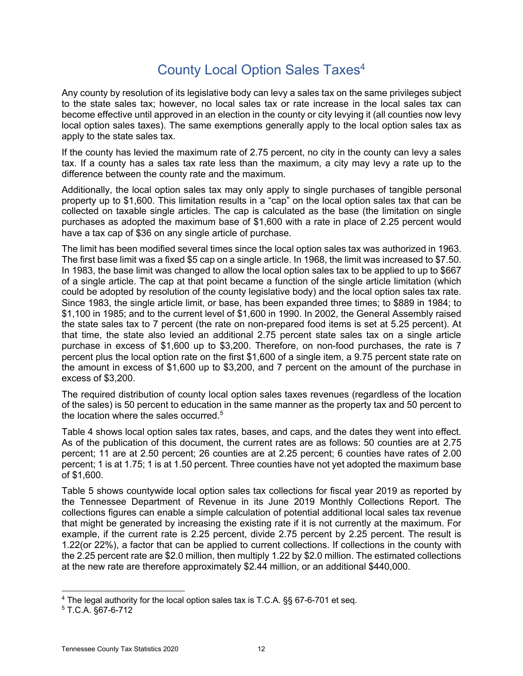## County Local Option Sales Taxes<sup>4</sup>

Any county by resolution of its legislative body can levy a sales tax on the same privileges subject to the state sales tax; however, no local sales tax or rate increase in the local sales tax can become effective until approved in an election in the county or city levying it (all counties now levy local option sales taxes). The same exemptions generally apply to the local option sales tax as apply to the state sales tax.

If the county has levied the maximum rate of 2.75 percent, no city in the county can levy a sales tax. If a county has a sales tax rate less than the maximum, a city may levy a rate up to the difference between the county rate and the maximum.

Additionally, the local option sales tax may only apply to single purchases of tangible personal property up to \$1,600. This limitation results in a "cap" on the local option sales tax that can be collected on taxable single articles. The cap is calculated as the base (the limitation on single purchases as adopted the maximum base of \$1,600 with a rate in place of 2.25 percent would have a tax cap of \$36 on any single article of purchase.

The limit has been modified several times since the local option sales tax was authorized in 1963. The first base limit was a fixed \$5 cap on a single article. In 1968, the limit was increased to \$7.50. In 1983, the base limit was changed to allow the local option sales tax to be applied to up to \$667 of a single article. The cap at that point became a function of the single article limitation (which could be adopted by resolution of the county legislative body) and the local option sales tax rate. Since 1983, the single article limit, or base, has been expanded three times; to \$889 in 1984; to \$1,100 in 1985; and to the current level of \$1,600 in 1990. In 2002, the General Assembly raised the state sales tax to 7 percent (the rate on non-prepared food items is set at 5.25 percent). At that time, the state also levied an additional 2.75 percent state sales tax on a single article purchase in excess of \$1,600 up to \$3,200. Therefore, on non-food purchases, the rate is 7 percent plus the local option rate on the first \$1,600 of a single item, a 9.75 percent state rate on the amount in excess of \$1,600 up to \$3,200, and 7 percent on the amount of the purchase in excess of \$3,200.

The required distribution of county local option sales taxes revenues (regardless of the location of the sales) is 50 percent to education in the same manner as the property tax and 50 percent to the location where the sales occurred.<sup>5</sup>

Table 4 shows local option sales tax rates, bases, and caps, and the dates they went into effect. As of the publication of this document, the current rates are as follows: 50 counties are at 2.75 percent; 11 are at 2.50 percent; 26 counties are at 2.25 percent; 6 counties have rates of 2.00 percent; 1 is at 1.75; 1 is at 1.50 percent. Three counties have not yet adopted the maximum base of \$1,600.

Table 5 shows countywide local option sales tax collections for fiscal year 2019 as reported by the Tennessee Department of Revenue in its June 2019 Monthly Collections Report. The collections figures can enable a simple calculation of potential additional local sales tax revenue that might be generated by increasing the existing rate if it is not currently at the maximum. For example, if the current rate is 2.25 percent, divide 2.75 percent by 2.25 percent. The result is 1.22(or 22%), a factor that can be applied to current collections. If collections in the county with the 2.25 percent rate are \$2.0 million, then multiply 1.22 by \$2.0 million. The estimated collections at the new rate are therefore approximately \$2.44 million, or an additional \$440,000.

<sup>4</sup> The legal authority for the local option sales tax is T.C.A. §§ 67-6-701 et seq.

<sup>5</sup> T.C.A. §67-6-712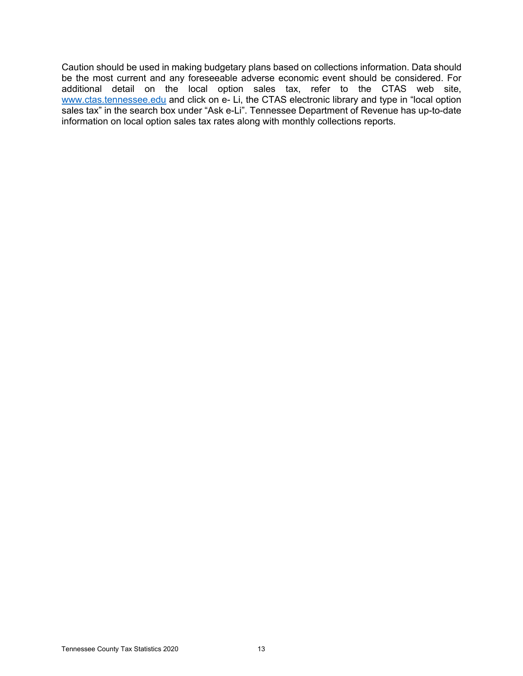Caution should be used in making budgetary plans based on collections information. Data should be the most current and any foreseeable adverse economic event should be considered. For additional detail on the local option sales tax, refer to the CTAS web site, www.ctas.tennessee.edu and click on e- Li, the CTAS electronic library and type in "local option sales tax" in the search box under "Ask e-Li". Tennessee Department of Revenue has up-to-date information on local option sales tax rates along with monthly collections reports.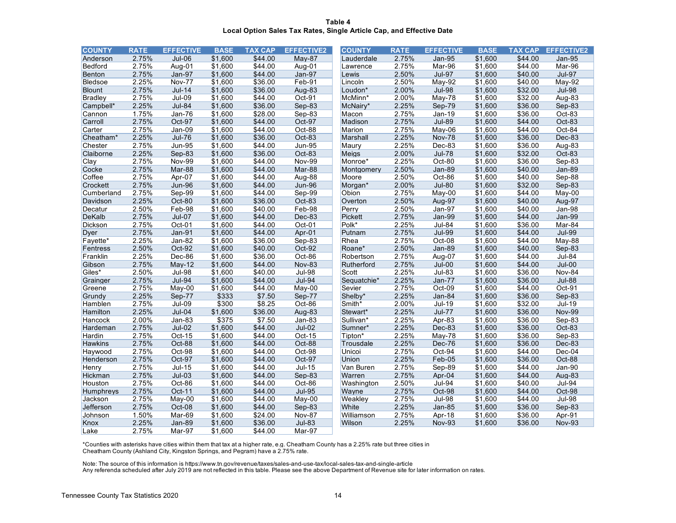**Table 4 Local Option Sales Tax Rates, Single Article Cap, and Effective Date**

| <b>COUNTY</b>  | <b>RATE</b> | <b>EFFECTIVE</b> | <b>BASE</b> | <b>TAX CAP</b> | <b>EFFECTIVE2</b> | <b>COUNTY</b> | <b>RATE</b> | <b>EFFECTIVE</b> | <b>BASE</b> | <b>TAX CAP</b> | <b>EFFECTIVE2</b> |
|----------------|-------------|------------------|-------------|----------------|-------------------|---------------|-------------|------------------|-------------|----------------|-------------------|
| Anderson       | 2.75%       | $Jul-06$         | \$1.600     | \$44.00        | May-87            | Lauderdale    | 2.75%       | <b>Jan-95</b>    | \$1.600     | \$44.00        | <b>Jan-95</b>     |
| Bedford        | 2.75%       | Aug-01           | \$1,600     | \$44.00        | Aug-01            | Lawrence      | 2.75%       | Mar-96           | \$1,600     | \$44.00        | Mar-96            |
| Benton         | 2.75%       | Jan-97           | \$1,600     | \$44.00        | Jan-97            | Lewis         | 2.50%       | <b>Jul-97</b>    | \$1,600     | \$40.00        | <b>Jul-97</b>     |
| Bledsoe        | 2.25%       | <b>Nov-77</b>    | \$1,600     | \$36.00        | $Feb-91$          | Lincoln       | 2.50%       | $May-92$         | \$1,600     | \$40.00        | May-92            |
| <b>Blount</b>  | 2.75%       | <b>Jul-14</b>    | \$1,600     | \$36.00        | Aug-83            | Loudon*       | 2.00%       | <b>Jul-98</b>    | \$1,600     | \$32.00        | <b>Jul-98</b>     |
| <b>Bradley</b> | 2.75%       | $Jul-09$         | \$1,600     | \$44.00        | Oct-91            | McMinn*       | 2.00%       | May-78           | \$1,600     | \$32.00        | Aug-83            |
| Campbell*      | 2.25%       | <b>Jul-84</b>    | \$1,600     | \$36.00        | Sep-83            | McNairy*      | 2.25%       | Sep-79           | \$1,600     | \$36.00        | Sep-83            |
| Cannon         | 1.75%       | Jan-76           | \$1,600     | \$28.00        | Sep-83            | Macon         | 2.75%       | Jan-19           | \$1,600     | \$36.00        | Oct-83            |
| Carroll        | 2.75%       | Oct-97           | \$1,600     | \$44.00        | Oct-97            | Madison       | 2.75%       | <b>Jul-89</b>    | \$1,600     | \$44.00        | Oct-83            |
| Carter         | 2.75%       | Jan-09           | \$1,600     | \$44.00        | Oct-88            | Marion        | 2.75%       | May-06           | \$1,600     | \$44.00        | Oct-84            |
| Cheatham*      | 2.25%       | $Jul-76$         | \$1,600     | \$36.00        | Oct-83            | Marshall      | 2.25%       | <b>Nov-78</b>    | \$1,600     | \$36.00        | Dec-83            |
| Chester        | 2.75%       | <b>Jun-95</b>    | \$1,600     | \$44.00        | <b>Jun-95</b>     | Maury         | 2.25%       | Dec-83           | \$1,600     | \$36.00        | Aug-83            |
| Claiborne      | 2.25%       | Sep-83           | \$1,600     | \$36.00        | Oct-83            | Meigs         | 2.00%       | $Jul-78$         | \$1,600     | \$32.00        | Oct-83            |
| Clay           | 2.75%       | <b>Nov-99</b>    | \$1,600     | \$44.00        | <b>Nov-99</b>     | Monroe*       | 2.25%       | Oct-80           | \$1,600     | \$36.00        | Sep-83            |
| Cocke          | 2.75%       | Mar-88           | \$1,600     | \$44.00        | Mar-88            | Montgomery    | 2.50%       | <b>Jan-89</b>    | \$1,600     | \$40.00        | <b>Jan-89</b>     |
| Coffee         | 2.75%       | Apr-07           | \$1,600     | \$44.00        | Aug-88            | Moore         | 2.50%       | Oct-86           | \$1,600     | \$40.00        | Sep-88            |
| Crockett       | 2.75%       | <b>Jun-96</b>    | \$1,600     | \$44.00        | <b>Jun-96</b>     | Morgan*       | 2.00%       | <b>Jul-80</b>    | \$1,600     | \$32.00        | Sep-83            |
| Cumberland     | 2.75%       | Sep-99           | \$1,600     | \$44.00        | Sep-99            | Obion         | 2.75%       | May-00           | \$1,600     | \$44.00        | May-00            |
| Davidson       | 2.25%       | Oct-80           | \$1,600     | \$36.00        | Oct-83            | Overton       | 2.50%       | Aug-97           | \$1,600     | \$40.00        | Aug-97            |
| Decatur        | 2.50%       | Feb-98           | \$1,600     | \$40.00        | $Feb-98$          | Perry         | 2.50%       | $Jan-97$         | \$1,600     | \$40.00        | $Jan-98$          |
| DeKalb         | 2.75%       | $Jul-07$         | \$1,600     | \$44.00        | Dec-83            | Pickett       | 2.75%       | Jan-99           | \$1,600     | \$44.00        | Jan-99            |
| Dickson        | 2.75%       | Oct-01           | \$1,600     | \$44.00        | Oct-01            | Polk*         | 2.25%       | $Jul-84$         | \$1,600     | \$36.00        | Mar-84            |
| Dyer           | 2.75%       | $Jan-91$         | \$1,600     | \$44.00        | Apr-01            | Putnam        | 2.75%       | <b>Jul-99</b>    | \$1,600     | \$44.00        | <b>Jul-99</b>     |
| Fayette*       | 2.25%       | Jan-82           | \$1,600     | \$36.00        | Sep-83            | Rhea          | 2.75%       | Oct-08           | \$1,600     | \$44.00        | May-88            |
| Fentress       | 2.50%       | Oct-92           | \$1,600     | \$40.00        | Oct-92            | Roane*        | 2.50%       | <b>Jan-89</b>    | \$1,600     | \$40.00        | Sep-83            |
| Franklin       | 2.25%       | Dec-86           | \$1,600     | \$36.00        | Oct-86            | Robertson     | 2.75%       | Aug-07           | \$1,600     | \$44.00        | $Jul-84$          |
| Gibson         | 2.75%       | $May-12$         | \$1,600     | \$44.00        | <b>Nov-83</b>     | Rutherford    | 2.75%       | $Jul-00$         | \$1,600     | \$44.00        | $Jul-00$          |
| Giles*         | 2.50%       | <b>Jul-98</b>    | \$1,600     | \$40.00        | $Jul-98$          | Scott         | 2.25%       | $Jul-83$         | \$1,600     | \$36.00        | Nov-84            |
| Grainger       | 2.75%       | <b>Jul-94</b>    | \$1,600     | \$44.00        | <b>Jul-94</b>     | Sequatchie*   | 2.25%       | Jan-77           | \$1,600     | \$36.00        | <b>Jul-88</b>     |
| Greene         | 2.75%       | $May-00$         | \$1,600     | \$44.00        | $May-00$          | Sevier        | 2.75%       | Oct-09           | \$1,600     | \$44.00        | Oct-91            |
| Grundy         | 2.25%       | Sep-77           | \$333       | \$7.50         | Sep-77            | Shelby*       | 2.25%       | Jan-84           | \$1,600     | \$36.00        | Sep-83            |
| Hamblen        | 2.75%       | $Jul-09$         | \$300       | \$8.25         | Oct-86            | Smith*        | 2.00%       | $Jul-19$         | \$1,600     | \$32.00        | $Jul-19$          |
| Hamilton       | 2.25%       | $Jul-04$         | \$1,600     | \$36.00        | Aug-83            | Stewart*      | 2.25%       | <b>Jul-77</b>    | \$1,600     | \$36.00        | <b>Nov-99</b>     |
| Hancock        | 2.00%       | Jan-83           | \$375       | \$7.50         | $Jan-83$          | Sullivan*     | 2.25%       | Apr-83           | \$1,600     | \$36.00        | Sep-83            |
| Hardeman       | 2.75%       | $Jul-02$         | \$1,600     | \$44.00        | $Jul-02$          | Sumner*       | 2.25%       | Dec-83           | \$1,600     | \$36.00        | Oct-83            |
| Hardin         | 2.75%       | Oct-15           | \$1,600     | \$44.00        | Oct-15            | Tipton*       | 2.25%       | May-78           | \$1,600     | \$36.00        | Sep-83            |
| <b>Hawkins</b> | 2.75%       | Oct-88           | \$1,600     | \$44.00        | Oct-88            | Trousdale     | 2.25%       | Dec-76           | \$1,600     | \$36.00        | Dec-83            |
| Haywood        | 2.75%       | Oct-98           | \$1,600     | \$44.00        | Oct-98            | Unicoi        | 2.75%       | Oct-94           | \$1,600     | \$44.00        | Dec-04            |
| Henderson      | 2.75%       | Oct-97           | \$1,600     | \$44.00        | Oct-97            | Union         | 2.25%       | $Feb-05$         | \$1,600     | \$36.00        | Oct-88            |
| Henry          | 2.75%       | $Jul-15$         | \$1,600     | \$44.00        | <b>Jul-15</b>     | Van Buren     | 2.75%       | Sep-89           | \$1,600     | \$44.00        | Jan-90            |
| Hickman        | 2.75%       | $Jul-03$         | \$1,600     | \$44.00        | Sep-83            | Warren        | 2.75%       | Apr-04           | \$1,600     | \$44.00        | Aug-83            |
| Houston        | 2.75%       | Oct-86           | \$1,600     | \$44.00        | Oct-86            | Washington    | 2.50%       | $Jul-94$         | \$1,600     | \$40.00        | <b>Jul-94</b>     |
| Humphreys      | 2.75%       | Oct-11           | \$1,600     | \$44.00        | <b>Jul-95</b>     | Wayne         | 2.75%       | Oct-98           | \$1,600     | \$44.00        | Oct-98            |
| Jackson        | 2.75%       | May-00           | \$1,600     | \$44.00        | May-00            | Weakley       | 2.75%       | <b>Jul-98</b>    | \$1,600     | \$44.00        | <b>Jul-98</b>     |
| Jefferson      | 2.75%       | Oct-08           | \$1,600     | \$44.00        | Sep-83            | White         | 2.25%       | $Jan-85$         | \$1,600     | \$36.00        | Sep-83            |
| Johnson        | 1.50%       | Mar-69           | \$1,600     | \$24.00        | <b>Nov-87</b>     | Williamson    | 2.75%       | Apr-18           | \$1,600     | \$36.00        | Apr-91            |
| Knox           | 2.25%       | <b>Jan-89</b>    | \$1,600     | \$36.00        | $Jul-83$          | Wilson        | 2.25%       | <b>Nov-93</b>    | \$1,600     | \$36.00        | <b>Nov-93</b>     |
| Lake           | 2.75%       | Mar-97           | \$1,600     | \$44.00        | Mar-97            |               |             |                  |             |                |                   |

\*Counties with asterisks have cities within them that tax at a higher rate, e.g. Cheatham County has a 2.25% rate but three cities in Cheatham County (Ashland City, Kingston Springs, and Pegram) have a 2.75% rate.

Note: The source of this information is https://www.tn.gov/revenue/taxes/sales-and-use-tax/local-sales-tax-and-single-article Any referenda scheduled after July 2019 are not reflected in this table. Please see the above Department of Revenue site for later information on rates.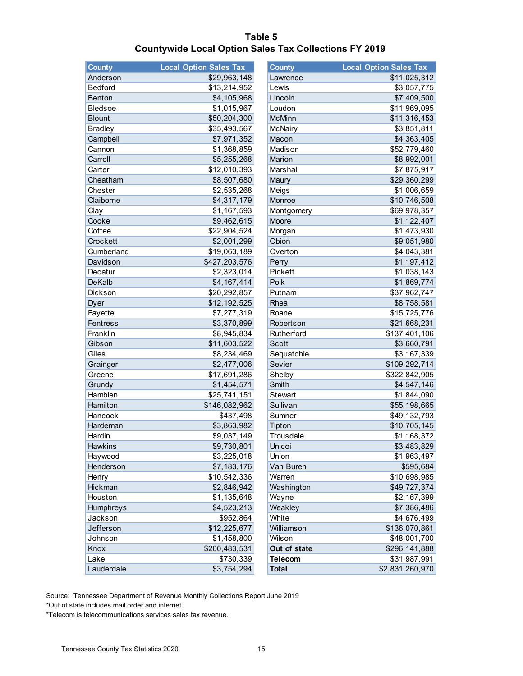| Table 5                                                      |  |  |  |  |  |
|--------------------------------------------------------------|--|--|--|--|--|
| <b>Countywide Local Option Sales Tax Collections FY 2019</b> |  |  |  |  |  |

| <b>County</b>  | <b>Local Option Sales Tax</b> | <b>County</b>  | <b>Local Option Sales Tax</b> |
|----------------|-------------------------------|----------------|-------------------------------|
| Anderson       | \$29,963,148                  | Lawrence       | \$11,025,312                  |
| Bedford        | \$13,214,952                  | Lewis          | \$3,057,775                   |
| Benton         | \$4,105,968                   | Lincoln        | \$7,409,500                   |
| Bledsoe        | \$1,015,967                   | Loudon         | \$11,969,095                  |
| <b>Blount</b>  | \$50,204,300                  | <b>McMinn</b>  | \$11,316,453                  |
| <b>Bradley</b> | \$35,493,567                  | McNairy        | \$3,851,811                   |
| Campbell       | \$7,971,352                   | Macon          | \$4,363,405                   |
| Cannon         | \$1,368,859                   | Madison        | \$52,779,460                  |
| Carroll        | \$5,255,268                   | Marion         | \$8,992,001                   |
| Carter         | \$12,010,393                  | Marshall       | \$7,875,917                   |
| Cheatham       | \$8,507,680                   | Maury          | \$29,360,299                  |
| Chester        | \$2,535,268                   | Meigs          | \$1,006,659                   |
| Claiborne      | \$4,317,179                   | Monroe         | \$10,746,508                  |
| Clay           | \$1,167,593                   | Montgomery     | \$69,978,357                  |
| Cocke          | \$9,462,615                   | Moore          | \$1,122,407                   |
| Coffee         | \$22,904,524                  | Morgan         | \$1,473,930                   |
| Crockett       | \$2,001,299                   | Obion          | \$9,051,980                   |
| Cumberland     | \$19,063,189                  | Overton        | \$4,043,381                   |
| Davidson       | \$427,203,576                 | Perry          | \$1,197,412                   |
| Decatur        | \$2,323,014                   | Pickett        | \$1,038,143                   |
| <b>DeKalb</b>  | \$4,167,414                   | Polk           | \$1,869,774                   |
| Dickson        | \$20,292,857                  | Putnam         | \$37,962,747                  |
| Dyer           | \$12,192,525                  | Rhea           | \$8,758,581                   |
| Fayette        | \$7,277,319                   | Roane          | \$15,725,776                  |
| Fentress       | \$3,370,899                   | Robertson      | \$21,668,231                  |
| Franklin       | \$8,945,834                   | Rutherford     | \$137,401,106                 |
| Gibson         | \$11,603,522                  | <b>Scott</b>   | \$3,660,791                   |
| Giles          | \$8,234,469                   | Sequatchie     | \$3,167,339                   |
| Grainger       | \$2,477,006                   | Sevier         | \$109,292,714                 |
| Greene         | \$17,691,286                  | Shelby         | \$322,842,905                 |
| Grundy         | \$1,454,571                   | Smith          | \$4,547,146                   |
| Hamblen        | \$25,741,151                  | <b>Stewart</b> | \$1,844,090                   |
| Hamilton       | \$146,082,962                 | Sullivan       | \$55,198,665                  |
| Hancock        | \$437,498                     | Sumner         | \$49,132,793                  |
| Hardeman       | \$3,863,982                   | Tipton         | \$10,705,145                  |
| Hardin         | \$9,037,149                   | Trousdale      | \$1,168,372                   |
| Hawkins        | \$9,730,801                   | Unicoi         | \$3,483,829                   |
| Haywood        | \$3,225,018                   | Union          | \$1,963,497                   |
| Henderson      | \$7,183,176                   | Van Buren      | \$595,684                     |
| Henry          | \$10,542,336                  | Warren         | \$10,698,985                  |
| Hickman        | \$2,846,942                   | Washington     | \$49,727,374                  |
| Houston        | \$1,135,648                   | Wayne          | \$2,167,399                   |
| Humphreys      | \$4,523,213                   | Weakley        | \$7,386,486                   |
| Jackson        | \$952,864                     | White          | \$4,676,499                   |
| Jefferson      | \$12,225,677                  | Williamson     | \$136,070,861                 |
| Johnson        | \$1,458,800                   | Wilson         | \$48,001,700                  |
| Knox           | \$200,483,531                 | Out of state   | \$296,141,888                 |
| Lake           | \$730,339                     | <b>Telecom</b> | \$31,987,991                  |
| Lauderdale     | \$3,754,294                   | <b>Total</b>   | \$2,831,260,970               |

Source: Tennessee Department of Revenue Monthly Collections Report June 2019

\*Out of state includes mail order and internet.

\*Telecom is telecommunications services sales tax revenue.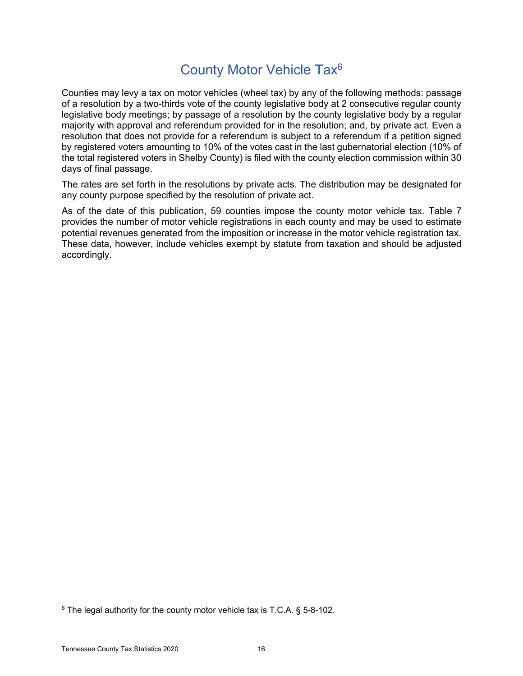#### County Motor Vehicle Tax6

Counties may levy a tax on motor vehicles (wheel tax) by any of the following methods: passage of a resolution by a two-thirds vote of the county legislative body at 2 consecutive regular county legislative body meetings; by passage of a resolution by the county legislative body by a regular majority with approval and referendum provided for in the resolution; and, by private act. Even a resolution that does not provide for a referendum is subject to a referendum if a petition signed by registered voters amounting to 10% of the votes cast in the last gubernatorial election (10% of the total registered voters in Shelby County) is filed with the county election commission within 30 days of final passage.

The rates are set forth in the resolutions by private acts. The distribution may be designated for any county purpose specified by the resolution of private act.

As of the date of this publication, 59 counties impose the county motor vehicle tax. Table 7 provides the number of motor vehicle registrations in each county and may be used to estimate potential revenues generated from the imposition or increase in the motor vehicle registration tax. These data, however, include vehicles exempt by statute from taxation and should be adjusted accordingly.

 $6$  The legal authority for the county motor vehicle tax is T.C.A. § 5-8-102.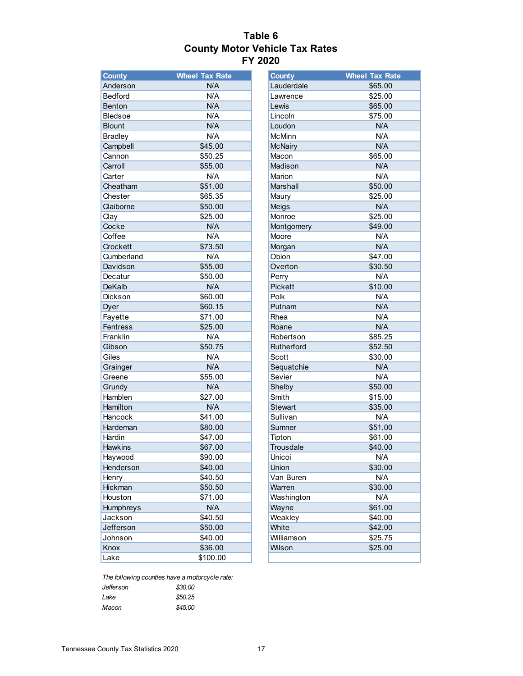#### **Table 6 County Motor Vehicle Tax Rates FY 2020**

| <b>County</b>   | <b>Wheel Tax Rate</b> | <b>County</b>  | <b>Wheel Tax Rate</b> |
|-----------------|-----------------------|----------------|-----------------------|
| Anderson        | N/A                   | Lauderdale     | \$65.00               |
| <b>Bedford</b>  | N/A                   | Lawrence       | \$25.00               |
| Benton          | N/A                   | Lewis          | \$65.00               |
| <b>Bledsoe</b>  | N/A                   | Lincoln        | \$75.00               |
| <b>Blount</b>   | N/A                   | Loudon         | N/A                   |
| <b>Bradley</b>  | N/A                   | <b>McMinn</b>  | N/A                   |
| Campbell        | \$45.00               | <b>McNairy</b> | N/A                   |
| Cannon          | \$50.25               | Macon          | \$65.00               |
| Carroll         | \$55.00               | Madison        | N/A                   |
| Carter          | N/A                   | Marion         | N/A                   |
| Cheatham        | \$51.00               | Marshall       | \$50.00               |
| Chester         | \$65.35               | Maury          | \$25.00               |
| Claiborne       | \$50.00               | Meigs          | N/A                   |
| Clay            | \$25.00               | Monroe         | \$25.00               |
| Cocke           | N/A                   | Montgomery     | \$49.00               |
| Coffee          | N/A                   | Moore          | N/A                   |
| Crockett        | \$73.50               | Morgan         | N/A                   |
| Cumberland      | N/A                   | Obion          | \$47.00               |
| Davidson        | \$55.00               | Overton        | \$30.50               |
| Decatur         | \$50.00               | Perry          | N/A                   |
| <b>DeKalb</b>   | N/A                   | Pickett        | \$10.00               |
| Dickson         | \$60.00               | Polk           | N/A                   |
| Dyer            | \$60.15               | Putnam         | N/A                   |
| Fayette         | \$71.00               | Rhea           | N/A                   |
| <b>Fentress</b> | \$25.00               | Roane          | N/A                   |
| Franklin        | N/A                   | Robertson      | \$85.25               |
| Gibson          | \$50.75               | Rutherford     | \$52.50               |
| Giles           | N/A                   | Scott          | \$30.00               |
| Grainger        | N/A                   | Sequatchie     | N/A                   |
| Greene          | \$55.00               | Sevier         | N/A                   |
| Grundy          | N/A                   | Shelby         | \$50.00               |
| Hamblen         | \$27.00               | Smith          | \$15.00               |
| Hamilton        | N/A                   | <b>Stewart</b> | \$35.00               |
| Hancock         | \$41.00               | Sullivan       | N/A                   |
| Hardeman        | \$80.00               | Sumner         | \$51.00               |
| Hardin          | \$47.00               | Tipton         | \$61.00               |
| <b>Hawkins</b>  | \$67.00               | Trousdale      | \$40.00               |
| Haywood         | \$90.00               | Unicoi         | N/A                   |
| Henderson       | \$40.00               | Union          | \$30.00               |
| Henry           | \$40.50               | Van Buren      | N/A                   |
| Hickman         | \$50.50               | Warren         | \$30.00               |
| Houston         | \$71.00               | Washington     | N/A                   |
| Humphreys       | N/A                   | Wayne          | \$61.00               |
| Jackson         | \$40.50               | Weakley        | \$40.00               |
| Jefferson       | \$50.00               | White          | \$42.00               |
| Johnson         | \$40.00               | Williamson     | \$25.75               |
| Knox            | \$36.00               | Wilson         | \$25.00               |
| Lake            | \$100.00              |                |                       |

| <b>County</b>  | <b>Wheel Tax Rate</b> |
|----------------|-----------------------|
| Lauderdale     | \$65.00               |
| Lawrence       | \$25.00               |
| Lewis          | \$65.00               |
| Lincoln        | \$75.00               |
| Loudon         | N/A                   |
| McMinn         | N/A                   |
| <b>McNairy</b> | N/A                   |
| Macon          | \$65.00               |
| Madison        | N/A                   |
| Marion         | N/A                   |
| Marshall       | \$50.00               |
| Maury          | \$25.00               |
| Meigs          | N/A                   |
| Monroe         | \$25.00               |
| Montgomery     | \$49.00               |
| Moore          | N/A                   |
| Morgan         | N/A                   |
| Obion          | \$47.00               |
| Overton        | \$30.50               |
| Perry          | N/A                   |
| Pickett        | \$10.00               |
| Polk           | N/A                   |
| Putnam         | N/A                   |
| Rhea           | N/A                   |
| Roane          | N/A                   |
| Robertson      | \$85.25               |
| Rutherford     | \$52.50               |
| Scott          | \$30.00               |
| Sequatchie     | N/A                   |
| Sevier         | N/A                   |
| Shelby         | \$50.00               |
| Smith          | \$15.00               |
| Stewart        | \$35.00               |
| Sullivan       | N/A                   |
| Sumner         | \$51.00               |
| Tipton         | \$61.00               |
| Trousdale      | \$40.00               |
| Unicoi         | N/A                   |
| Union          | \$30.00               |
| Van Buren      | N/A                   |
| Warren         | \$30.00               |
| Washington     | N/A                   |
| Wayne          | \$61.00               |
| Weakley        | \$40.00               |
| White          | \$42.00               |
| Williamson     | \$25.75               |
| Wilson         | \$25.00               |
|                |                       |

*The following counties have a motorcycle rate: Jefferson \$30.00 Lake \$50.25 Macon \$45.00*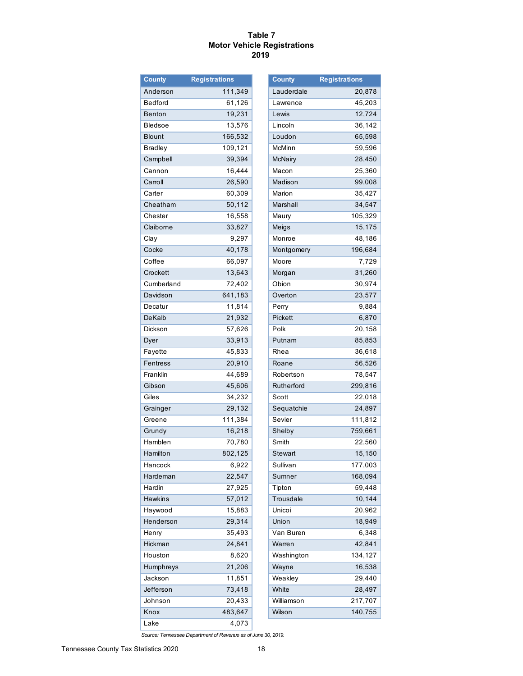#### **Table 7 Motor Vehicle Registrations 2019**

| <b>County</b>   | <b>Registrations</b> |
|-----------------|----------------------|
| Anderson        | 111,349              |
| Bedford         | 61,126               |
| <b>Benton</b>   | 19,231               |
| Bledsoe         | 13,576               |
| <b>Blount</b>   | 166,532              |
| <b>Bradley</b>  | 109,121              |
| Campbell        | 39,394               |
| Cannon          | 16,444               |
| Carroll         | 26,590               |
| Carter          | 60,309               |
| Cheatham        | 50,112               |
| Chester         | 16,558               |
| Claiborne       | 33,827               |
| Clay            | 9,297                |
| Cocke           | 40,178               |
| Coffee          | 66,097               |
| Crockett        | 13,643               |
| Cumberland      | 72,402               |
| Davidson        | 641,183              |
| Decatur         | 11,814               |
| DeKalb          | 21,932               |
| Dickson         | 57,626               |
| Dyer            | 33,913               |
| Fayette         | 45,833               |
| <b>Fentress</b> | 20,910               |
| Franklin        | 44,689               |
| Gibson          | 45,606               |
| Giles           | 34,232               |
| Grainger        | 29,132               |
| Greene          | 111,384              |
| Grundy          | 16,218               |
| Hamblen         | 70,780               |
| Hamilton        | 802,125              |
| Hancock         | 6,922                |
| Hardeman        | 22,547               |
| Hardin          | 27,925               |
| Hawkins         | 57,012               |
| Haywood         | 15,883               |
| Henderson       | 29,314               |
| Henry           | 35,493               |
| Hickman         | 24,841               |
|                 | 8,620                |
| Houston         |                      |
| Humphreys       | 21,206               |
| Jackson         | 11,851               |
| Jefferson       | 73,418               |
| Johnson         | 20,433               |
| Knox            | 483,647              |
| Lake            | 4,073                |

| <b>County</b>       | <b>Registrations</b> |
|---------------------|----------------------|
| Lauderdale          | 20,878               |
| Lawrence            | 45,203               |
| Lewis               | 12,724               |
| Lincoln             | 36,142               |
| Loudon              | 65,598               |
| McMinn              | 59,596               |
| <b>McNairy</b>      | 28,450               |
| Macon               | 25,360               |
| Madison             | 99,008               |
| Marion              | 35,427               |
| Marshall            | 34,547               |
| Maury               | 105,329              |
| Meigs               | 15,175               |
| Monroe              | 48,186               |
| Montgomery          | 196,684              |
| Moore               | 7,729                |
| Morgan              | 31,260               |
| Obion               | 30,974               |
| Overton             | 23,577               |
| Perry               | 9,884                |
| Pickett             | 6,870                |
| Polk                | 20,158               |
| Putnam              | 85,853               |
| Rhea                | 36,618               |
| Roane               | 56,526               |
| Robertson           | 78,547               |
| Rutherford          | 299,816              |
| Scott               | 22,018               |
| Sequatchie          | 24,897               |
| Sevier              | 111,812              |
| Shelby              | 759,661              |
| Smith               | 22,560               |
| Stewart             | 15,150               |
| Sullivan            | 177,003              |
| Sumner              | 168,094              |
|                     | 59,448               |
| Tipton<br>Trousdale | 10,144               |
| Unicoi              |                      |
|                     | 20,962               |
| Union               | 18,949               |
| Van Buren           | 6,348                |
| Warren              | 42,841               |
| Washington          | 134,127              |
| Wayne               | 16,538               |
| Weakley             | 29,440               |
| White               | 28,497               |
| Williamson          | 217,707              |
| Wilson              | 140,755              |

*Source: Tennessee Department of Revenue as of June 30, 2019.*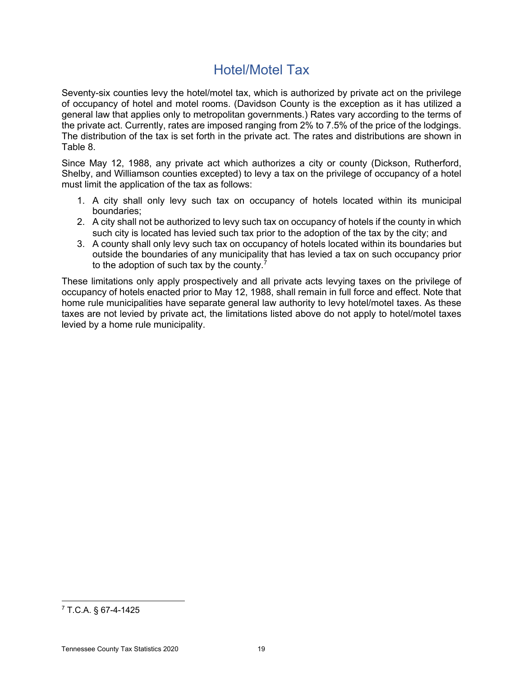## Hotel/Motel Tax

Seventy-six counties levy the hotel/motel tax, which is authorized by private act on the privilege of occupancy of hotel and motel rooms. (Davidson County is the exception as it has utilized a general law that applies only to metropolitan governments.) Rates vary according to the terms of the private act. Currently, rates are imposed ranging from 2% to 7.5% of the price of the lodgings. The distribution of the tax is set forth in the private act. The rates and distributions are shown in Table 8.

Since May 12, 1988, any private act which authorizes a city or county (Dickson, Rutherford, Shelby, and Williamson counties excepted) to levy a tax on the privilege of occupancy of a hotel must limit the application of the tax as follows:

- 1. A city shall only levy such tax on occupancy of hotels located within its municipal boundaries;
- 2. A city shall not be authorized to levy such tax on occupancy of hotels if the county in which such city is located has levied such tax prior to the adoption of the tax by the city; and
- 3. A county shall only levy such tax on occupancy of hotels located within its boundaries but outside the boundaries of any municipality that has levied a tax on such occupancy prior to the adoption of such tax by the county.

These limitations only apply prospectively and all private acts levying taxes on the privilege of occupancy of hotels enacted prior to May 12, 1988, shall remain in full force and effect. Note that home rule municipalities have separate general law authority to levy hotel/motel taxes. As these taxes are not levied by private act, the limitations listed above do not apply to hotel/motel taxes levied by a home rule municipality.

 $7$  T.C.A. § 67-4-1425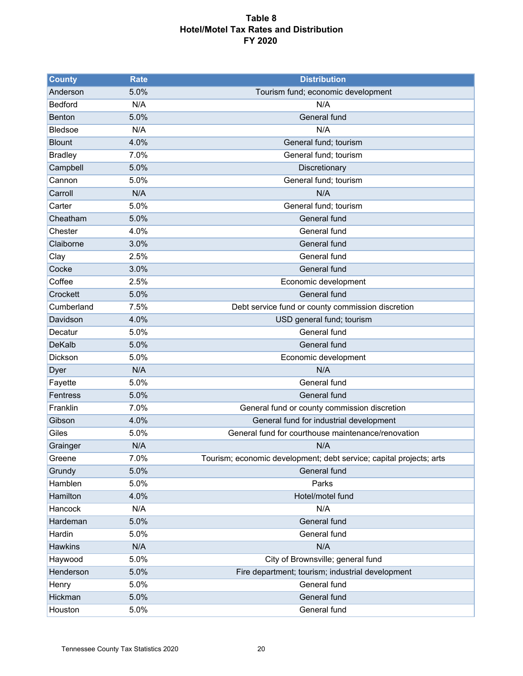#### **Table 8 Hotel/Motel Tax Rates and Distribution FY 2020**

| <b>County</b>  | <b>Rate</b> | <b>Distribution</b>                                                 |
|----------------|-------------|---------------------------------------------------------------------|
| Anderson       | 5.0%        | Tourism fund; economic development                                  |
| <b>Bedford</b> | N/A         | N/A                                                                 |
| Benton         | 5.0%        | General fund                                                        |
| <b>Bledsoe</b> | N/A         | N/A                                                                 |
| <b>Blount</b>  | 4.0%        | General fund; tourism                                               |
| <b>Bradley</b> | 7.0%        | General fund; tourism                                               |
| Campbell       | 5.0%        | Discretionary                                                       |
| Cannon         | 5.0%        | General fund; tourism                                               |
| Carroll        | N/A         | N/A                                                                 |
| Carter         | 5.0%        | General fund; tourism                                               |
| Cheatham       | 5.0%        | General fund                                                        |
| Chester        | 4.0%        | General fund                                                        |
| Claiborne      | 3.0%        | General fund                                                        |
| Clay           | 2.5%        | General fund                                                        |
| Cocke          | 3.0%        | General fund                                                        |
| Coffee         | 2.5%        | Economic development                                                |
| Crockett       | 5.0%        | General fund                                                        |
| Cumberland     | 7.5%        | Debt service fund or county commission discretion                   |
| Davidson       | 4.0%        | USD general fund; tourism                                           |
| Decatur        | 5.0%        | General fund                                                        |
| <b>DeKalb</b>  | 5.0%        | General fund                                                        |
| Dickson        | 5.0%        | Economic development                                                |
| Dyer           | N/A         | N/A                                                                 |
| Fayette        | 5.0%        | General fund                                                        |
| Fentress       | 5.0%        | General fund                                                        |
| Franklin       | 7.0%        | General fund or county commission discretion                        |
| Gibson         | 4.0%        | General fund for industrial development                             |
| Giles          | 5.0%        | General fund for courthouse maintenance/renovation                  |
| Grainger       | N/A         | N/A                                                                 |
| Greene         | 7.0%        | Tourism; economic development; debt service; capital projects; arts |
| Grundy         | 5.0%        | General fund                                                        |
| Hamblen        | 5.0%        | Parks                                                               |
| Hamilton       | 4.0%        | Hotel/motel fund                                                    |
| Hancock        | N/A         | N/A                                                                 |
| Hardeman       | 5.0%        | General fund                                                        |
| Hardin         | 5.0%        | General fund                                                        |
| <b>Hawkins</b> | N/A         | N/A                                                                 |
| Haywood        | 5.0%        | City of Brownsville; general fund                                   |
| Henderson      | 5.0%        | Fire department; tourism; industrial development                    |
| Henry          | 5.0%        | General fund                                                        |
| Hickman        | 5.0%        | General fund                                                        |
| Houston        | 5.0%        | General fund                                                        |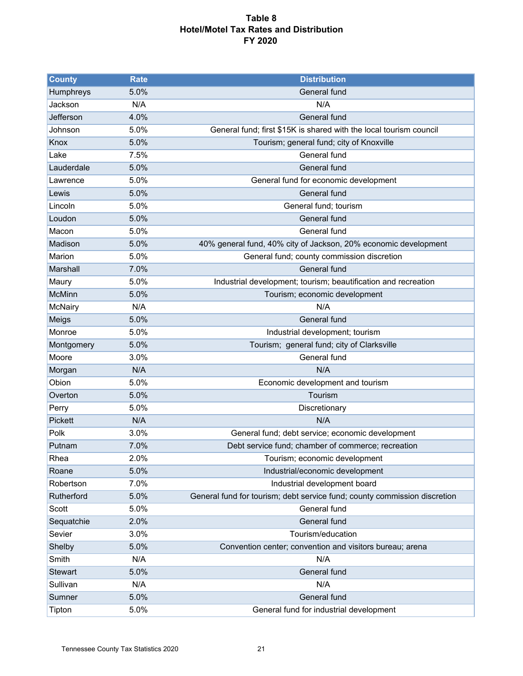#### **Table 8 Hotel/Motel Tax Rates and Distribution FY 2020**

| <b>County</b>  | <b>Rate</b> | <b>Distribution</b>                                                       |
|----------------|-------------|---------------------------------------------------------------------------|
| Humphreys      | 5.0%        | General fund                                                              |
| Jackson        | N/A         | N/A                                                                       |
| Jefferson      | 4.0%        | General fund                                                              |
| Johnson        | 5.0%        | General fund; first \$15K is shared with the local tourism council        |
| Knox           | 5.0%        | Tourism; general fund; city of Knoxville                                  |
| Lake           | 7.5%        | General fund                                                              |
| Lauderdale     | 5.0%        | General fund                                                              |
| Lawrence       | 5.0%        | General fund for economic development                                     |
| Lewis          | 5.0%        | General fund                                                              |
| Lincoln        | 5.0%        | General fund; tourism                                                     |
| Loudon         | 5.0%        | General fund                                                              |
| Macon          | 5.0%        | General fund                                                              |
| Madison        | 5.0%        | 40% general fund, 40% city of Jackson, 20% economic development           |
| Marion         | 5.0%        | General fund; county commission discretion                                |
| Marshall       | 7.0%        | General fund                                                              |
| Maury          | 5.0%        | Industrial development; tourism; beautification and recreation            |
| <b>McMinn</b>  | 5.0%        | Tourism; economic development                                             |
| McNairy        | N/A         | N/A                                                                       |
| Meigs          | 5.0%        | <b>General</b> fund                                                       |
| Monroe         | 5.0%        | Industrial development; tourism                                           |
| Montgomery     | 5.0%        | Tourism; general fund; city of Clarksville                                |
| Moore          | 3.0%        | General fund                                                              |
| Morgan         | N/A         | N/A                                                                       |
| Obion          | 5.0%        | Economic development and tourism                                          |
| Overton        | 5.0%        | Tourism                                                                   |
| Perry          | 5.0%        | Discretionary                                                             |
| Pickett        | N/A         | N/A                                                                       |
| Polk           | 3.0%        | General fund; debt service; economic development                          |
| Putnam         | 7.0%        | Debt service fund; chamber of commerce; recreation                        |
| Rhea           | 2.0%        | Tourism; economic development                                             |
| Roane          | 5.0%        | Industrial/economic development                                           |
| Robertson      | 7.0%        | Industrial development board                                              |
| Rutherford     | 5.0%        | General fund for tourism; debt service fund; county commission discretion |
| Scott          | 5.0%        | General fund                                                              |
| Sequatchie     | 2.0%        | General fund                                                              |
| Sevier         | 3.0%        | Tourism/education                                                         |
| Shelby         | 5.0%        | Convention center; convention and visitors bureau; arena                  |
| Smith          | N/A         | N/A                                                                       |
| <b>Stewart</b> | 5.0%        | General fund                                                              |
| Sullivan       | N/A         | N/A                                                                       |
| Sumner         | 5.0%        | General fund                                                              |
| Tipton         | 5.0%        | General fund for industrial development                                   |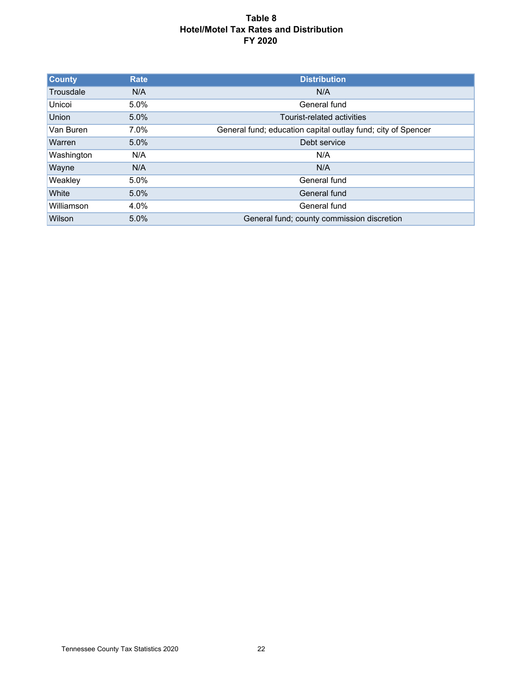#### **Table 8 Hotel/Motel Tax Rates and Distribution FY 2020**

| <b>County</b> | <b>Rate</b> | <b>Distribution</b>                                          |
|---------------|-------------|--------------------------------------------------------------|
| Trousdale     | N/A         | N/A                                                          |
| Unicoi        | $5.0\%$     | General fund                                                 |
| Union         | $5.0\%$     | Tourist-related activities                                   |
| Van Buren     | $7.0\%$     | General fund; education capital outlay fund; city of Spencer |
| Warren        | $5.0\%$     | Debt service                                                 |
| Washington    | N/A         | N/A                                                          |
| Wayne         | N/A         | N/A                                                          |
| Weakley       | $5.0\%$     | General fund                                                 |
| <b>White</b>  | $5.0\%$     | General fund                                                 |
| Williamson    | 4.0%        | General fund                                                 |
| Wilson        | 5.0%        | General fund; county commission discretion                   |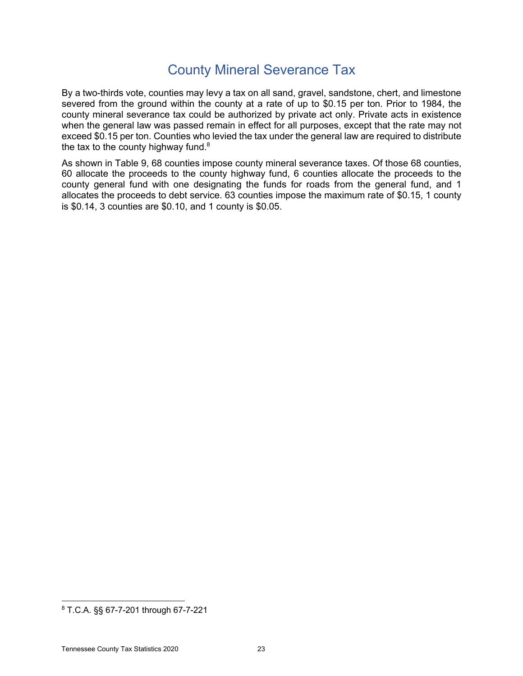## County Mineral Severance Tax

By a two-thirds vote, counties may levy a tax on all sand, gravel, sandstone, chert, and limestone severed from the ground within the county at a rate of up to \$0.15 per ton. Prior to 1984, the county mineral severance tax could be authorized by private act only. Private acts in existence when the general law was passed remain in effect for all purposes, except that the rate may not exceed \$0.15 per ton. Counties who levied the tax under the general law are required to distribute the tax to the county highway fund. $8<sup>8</sup>$ 

As shown in Table 9, 68 counties impose county mineral severance taxes. Of those 68 counties, 60 allocate the proceeds to the county highway fund, 6 counties allocate the proceeds to the county general fund with one designating the funds for roads from the general fund, and 1 allocates the proceeds to debt service. 63 counties impose the maximum rate of \$0.15, 1 county is \$0.14, 3 counties are \$0.10, and 1 county is \$0.05.

<sup>8</sup> T.C.A. §§ 67-7-201 through 67-7-221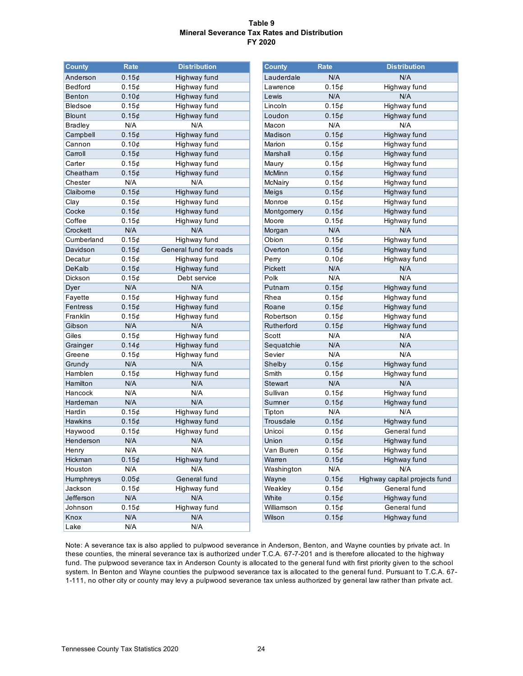#### **Table 9 Mineral Severance Tax Rates and Distribution FY 2020**

| <b>County</b>  | <b>Rate</b> | <b>Distribution</b>    | <b>County</b> | Rate  | <b>Distribution</b>   |
|----------------|-------------|------------------------|---------------|-------|-----------------------|
| Anderson       | 0.15¢       | Highway fund           | Lauderdale    | N/A   | N/A                   |
| <b>Bedford</b> | 0.15¢       | Highway fund           | Lawrence      | 0.15¢ | Highway fund          |
| <b>Benton</b>  | 0.10¢       | Highway fund           | Lewis         | N/A   | N/A                   |
| <b>Bledsoe</b> | 0.15¢       | Highway fund           | Lincoln       | 0.15¢ | Highway fund          |
| <b>Blount</b>  | 0.15¢       | Highway fund           | Loudon        | 0.15¢ | Highway fund          |
| <b>Bradley</b> | N/A         | N/A                    | Macon         | N/A   | N/A                   |
| Campbell       | 0.15¢       | Highway fund           | Madison       | 0.15¢ | Highway fund          |
| Cannon         | 0.10¢       | Highway fund           | Marion        | 0.15¢ | Highway fund          |
| Carroll        | 0.15¢       | Highway fund           | Marshall      | 0.15¢ | Highway fund          |
| Carter         | 0.15¢       | Highway fund           | Maury         | 0.15¢ | Highway fund          |
| Cheatham       | $0.15\phi$  | Highway fund           | <b>McMinn</b> | 0.15¢ | Highway fund          |
| Chester        | N/A         | N/A                    | McNairy       | 0.15¢ | Highway fund          |
| Claiborne      | 0.15¢       | Highway fund           | Meigs         | 0.15¢ | Highway fund          |
| Clay           | 0.15¢       | Highway fund           | Monroe        | 0.15¢ | Highway fund          |
| Cocke          | 0.15¢       | Highway fund           | Montgomery    | 0.15¢ | Highway fund          |
| Coffee         | 0.15¢       | Highway fund           | Moore         | 0.15¢ | Highway fund          |
| Crockett       | N/A         | N/A                    | Morgan        | N/A   | N/A                   |
| Cumberland     | 0.15¢       | Highway fund           | Obion         | 0.15¢ | Highway fund          |
| Davidson       | 0.15¢       | General fund for roads | Overton       | 0.15¢ | Highway fund          |
| Decatur        | 0.15¢       | Highway fund           | Perry         | 0.10¢ | Highway fund          |
| DeKalb         | 0.15¢       | Highway fund           | Pickett       | N/A   | N/A                   |
| Dickson        | 0.15¢       | Debt service           | Polk          | N/A   | N/A                   |
| Dyer           | N/A         | N/A                    | Putnam        | 0.15¢ | Highway fund          |
| Fayette        | 0.15¢       | Highway fund           | Rhea          | 0.15¢ | Highway fund          |
| Fentress       | 0.15¢       | Highway fund           | Roane         | 0.15¢ | Highway fund          |
| Franklin       | 0.15¢       | Highway fund           | Robertson     | 0.15¢ | Highway fund          |
| Gibson         | N/A         | N/A                    | Rutherford    | 0.15¢ | Highway fund          |
| Giles          | 0.15¢       | Highway fund           | Scott         | N/A   | N/A                   |
| Grainger       | 0.14¢       | Highway fund           | Sequatchie    | N/A   | N/A                   |
| Greene         | 0.15¢       | Highway fund           | Sevier        | N/A   | N/A                   |
| Grundy         | N/A         | N/A                    | Shelby        | 0.15¢ | Highway fund          |
| Hamblen        | 0.15¢       | Highway fund           | Smith         | 0.15¢ | Highway fund          |
| Hamilton       | N/A         | N/A                    | Stewart       | N/A   | N/A                   |
| Hancock        | N/A         | N/A                    | Sullivan      | 0.15¢ | Highway fund          |
| Hardeman       | N/A         | N/A                    | Sumner        | 0.15¢ | Highway fund          |
| Hardin         | 0.15¢       | Highway fund           | Tipton        | N/A   | N/A                   |
| <b>Hawkins</b> | 0.15¢       | Highway fund           | Trousdale     | 0.15¢ | Highway fund          |
| Haywood        | 0.15¢       | Highway fund           | Unicoi        | 0.15¢ | General fund          |
| Henderson      | N/A         | N/A                    | Union         | 0.15¢ | Highway fund          |
| Henry          | N/A         | N/A                    | Van Buren     | 0.15¢ | Highway fund          |
| Hickman        | 0.15¢       | Highway fund           | Warren        | 0.15¢ | Highway fund          |
| Houston        | N/A         | N/A                    | Washington    | N/A   | N/A                   |
| Humphreys      | 0.05¢       | General fund           | Wayne         | 0.15¢ | Highway capital proje |
| Jackson        | 0.15¢       | Highway fund           | Weakley       | 0.15¢ | General fund          |
| Jefferson      | N/A         | N/A                    | White         | 0.15¢ | Highway fund          |
| Johnson        | 0.15¢       | Highway fund           | Williamson    | 0.15¢ | General fund          |
| Knox           | N/A         | N/A                    | Wilson        | 0.15¢ | Highway fund          |
| Lake           | N/A         | N/A                    |               |       |                       |

| <b>County</b>  | Rate       | <b>Distribution</b>    | <b>County</b> | Rate       | <b>Distribution</b>           |
|----------------|------------|------------------------|---------------|------------|-------------------------------|
| Anderson       | 0.15¢      | Highway fund           | Lauderdale    | N/A        | N/A                           |
| Bedford        | $0.15\phi$ | Highway fund           | Lawrence      | 0.15¢      | Highway fund                  |
| Benton         | 0.10¢      | Highway fund           | Lewis         | N/A        | N/A                           |
| Bledsoe        | 0.15¢      | Highway fund           | Lincoln       | 0.15¢      | Highway fund                  |
| <b>Blount</b>  | 0.15¢      | Highway fund           | Loudon        | 0.15¢      | Highway fund                  |
| <b>Bradley</b> | N/A        | N/A                    | Macon         | N/A        | N/A                           |
| Campbell       | 0.15¢      | Highway fund           | Madison       | 0.15¢      | Highway fund                  |
| Cannon         | 0.10¢      | Highway fund           | Marion        | 0.15¢      | Highway fund                  |
| Carroll        | 0.15¢      | Highway fund           | Marshall      | 0.15¢      | Highway fund                  |
| Carter         | 0.15¢      | Highway fund           | Maury         | 0.15¢      | Highway fund                  |
| Cheatham       | 0.15¢      | Highway fund           | McMinn        | 0.15¢      | Highway fund                  |
| Chester        | N/A        | N/A                    | McNairy       | 0.15¢      | Highway fund                  |
| Claiborne      | 0.15¢      | Highway fund           | Meigs         | 0.15¢      | Highway fund                  |
| Clay           | 0.15¢      | Highway fund           | Monroe        | 0.15¢      | Highway fund                  |
| Cocke          | 0.15¢      | Highway fund           | Montgomery    | 0.15¢      | Highway fund                  |
| Coffee         | 0.15¢      | Highway fund           | Moore         | 0.15¢      | Highway fund                  |
| Crockett       | N/A        | N/A                    | Morgan        | N/A        | N/A                           |
| Cumberland     | 0.15¢      | Highway fund           | Obion         | 0.15¢      | Highway fund                  |
| Davidson       | 0.15¢      | General fund for roads | Overton       | 0.15¢      | Highway fund                  |
| Decatur        | 0.15¢      | Highway fund           | Perry         | 0.10¢      | Highway fund                  |
| DeKalb         | $0.15\phi$ | Highway fund           | Pickett       | N/A        | N/A                           |
| Dickson        | 0.15¢      | Debt service           | Polk          | N/A        | N/A                           |
| Dyer           | N/A        | N/A                    | Putnam        | 0.15¢      | Highway fund                  |
| Fayette        | 0.15¢      | Highway fund           | Rhea          | 0.15¢      | Highway fund                  |
| Fentress       | 0.15¢      | Highway fund           | Roane         | $0.15\phi$ | Highway fund                  |
| Franklin       | 0.15¢      | Highway fund           | Robertson     | 0.15¢      | Highway fund                  |
| Gibson         | N/A        | N/A                    | Rutherford    | 0.15¢      | Highway fund                  |
| Giles          | 0.15¢      | Highway fund           | Scott         | N/A        | N/A                           |
| Grainger       | 0.14¢      | Highway fund           | Sequatchie    | N/A        | N/A                           |
| Greene         | 0.15¢      | Highway fund           | Sevier        | N/A        | N/A                           |
| Grundy         | N/A        | N/A                    | Shelby        | 0.15¢      | Highway fund                  |
| Hamblen        | 0.15¢      | Highway fund           | Smith         | 0.15¢      | Highway fund                  |
| Hamilton       | N/A        | N/A                    | Stewart       | N/A        | N/A                           |
| Hancock        | N/A        | N/A                    | Sullivan      | 0.15¢      | Highway fund                  |
| Hardeman       | N/A        | N/A                    | Sumner        | 0.15¢      | Highway fund                  |
| Hardin         | 0.15¢      | Highway fund           | Tipton        | N/A        | N/A                           |
| <b>Hawkins</b> | 0.15¢      | Highway fund           | Trousdale     | 0.15¢      | Highway fund                  |
| Haywood        | 0.15¢      | Highway fund           | Unicoi        | 0.15¢      | General fund                  |
| Henderson      | N/A        | N/A                    | Union         | 0.15¢      | Highway fund                  |
| Henry          | N/A        | N/A                    | Van Buren     | $0.15$ ¢   | Highway fund                  |
| Hickman        | 0.15¢      | Highway fund           | Warren        | 0.15¢      | Highway fund                  |
| Houston        | N/A        | N/A                    | Washington    | N/A        | N/A                           |
| Humphreys      | 0.05¢      | General fund           | Wayne         | 0.15¢      | Highway capital projects fund |
| Jackson        | 0.15¢      | Highway fund           | Weakley       | 0.15¢      | General fund                  |
| Jefferson      | N/A        | N/A                    | White         | 0.15¢      | Highway fund                  |
| Johnson        | 0.15¢      | Highway fund           | Williamson    | 0.15¢      | General fund                  |
| Knox           | N/A        | N/A                    | Wilson        | 0.15c      | Highway fund                  |

Note: A severance tax is also applied to pulpwood severance in Anderson, Benton, and Wayne counties by private act. In these counties, the mineral severance tax is authorized under T.C.A. 67-7-201 and is therefore allocated to the highway fund. The pulpwood severance tax in Anderson County is allocated to the general fund with first priority given to the school system. In Benton and Wayne counties the pulpwood severance tax is allocated to the general fund. Pursuant to T.C.A. 67- 1-111, no other city or county may levy a pulpwood severance tax unless authorized by general law rather than private act.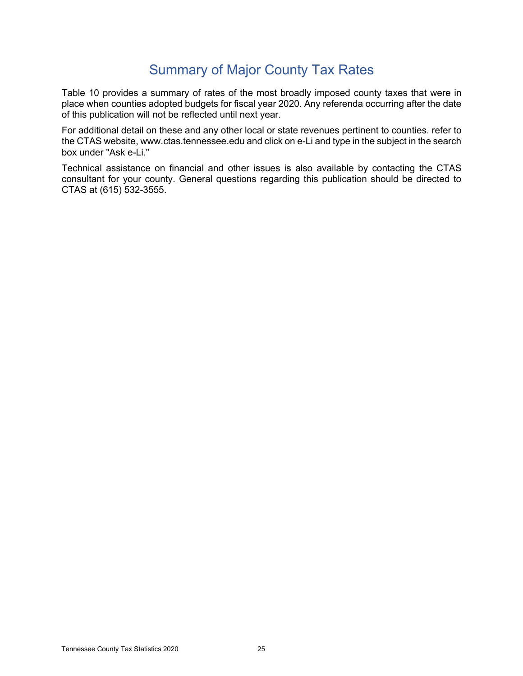## Summary of Major County Tax Rates

Table 10 provides a summary of rates of the most broadly imposed county taxes that were in place when counties adopted budgets for fiscal year 2020. Any referenda occurring after the date of this publication will not be reflected until next year.

For additional detail on these and any other local or state revenues pertinent to counties. refer to the CTAS website, www.ctas.tennessee.edu and click on e-Li and type in the subject in the search box under "Ask e-Li."

Technical assistance on financial and other issues is also available by contacting the CTAS consultant for your county. General questions regarding this publication should be directed to CTAS at (615) 532-3555.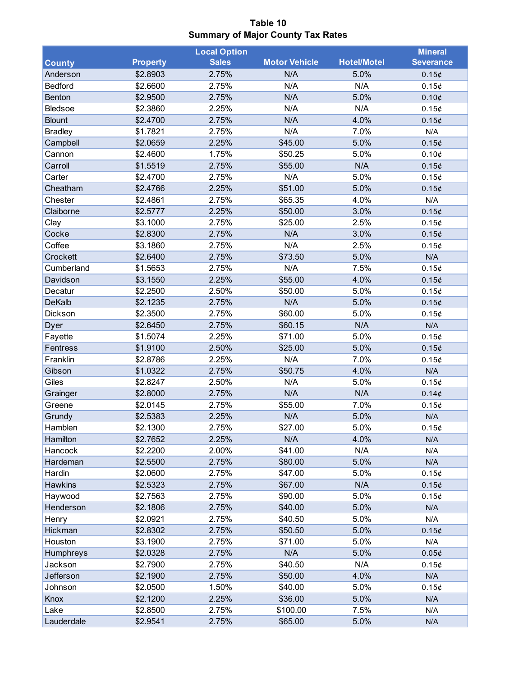**Table 10 Summary of Major County Tax Rates**

|                |                 | <b>Local Option</b> |                      |                    | <b>Mineral</b>   |
|----------------|-----------------|---------------------|----------------------|--------------------|------------------|
| <b>County</b>  | <b>Property</b> | <b>Sales</b>        | <b>Motor Vehicle</b> | <b>Hotel/Motel</b> | <b>Severance</b> |
| Anderson       | \$2.8903        | 2.75%               | N/A                  | 5.0%               | 0.15¢            |
| Bedford        | \$2.6600        | 2.75%               | N/A                  | N/A                | 0.15¢            |
| Benton         | \$2.9500        | 2.75%               | N/A                  | 5.0%               | 0.10¢            |
| <b>Bledsoe</b> | \$2.3860        | 2.25%               | N/A                  | N/A                | 0.15¢            |
| <b>Blount</b>  | \$2.4700        | 2.75%               | N/A                  | 4.0%               | 0.15¢            |
| <b>Bradley</b> | \$1.7821        | 2.75%               | N/A                  | 7.0%               | N/A              |
| Campbell       | \$2.0659        | 2.25%               | \$45.00              | 5.0%               | 0.15¢            |
| Cannon         | \$2.4600        | 1.75%               | \$50.25              | 5.0%               | 0.10¢            |
| Carroll        | \$1.5519        | 2.75%               | \$55.00              | N/A                | 0.15¢            |
| Carter         | \$2.4700        | 2.75%               | N/A                  | 5.0%               | 0.15¢            |
| Cheatham       | \$2.4766        | 2.25%               | \$51.00              | 5.0%               | 0.15¢            |
| Chester        | \$2.4861        | 2.75%               | \$65.35              | 4.0%               | N/A              |
| Claiborne      | \$2.5777        | 2.25%               | \$50.00              | 3.0%               | 0.15¢            |
| Clay           | \$3.1000        | 2.75%               | \$25.00              | 2.5%               | 0.15¢            |
| Cocke          | \$2.8300        | 2.75%               | N/A                  | 3.0%               | 0.15¢            |
| Coffee         | \$3.1860        | 2.75%               | N/A                  | 2.5%               | 0.15¢            |
| Crockett       | \$2.6400        | 2.75%               | \$73.50              | 5.0%               | N/A              |
| Cumberland     | \$1.5653        | 2.75%               | N/A                  | 7.5%               | 0.15¢            |
| Davidson       | \$3.1550        | 2.25%               | \$55.00              | 4.0%               | 0.15¢            |
| Decatur        | \$2.2500        | 2.50%               | \$50.00              | 5.0%               | 0.15¢            |
| <b>DeKalb</b>  | \$2.1235        | 2.75%               | N/A                  | 5.0%               | 0.15¢            |
| Dickson        | \$2.3500        | 2.75%               | \$60.00              | 5.0%               | 0.15¢            |
| Dyer           | \$2.6450        | 2.75%               | \$60.15              | N/A                | N/A              |
| Fayette        | \$1.5074        | 2.25%               | \$71.00              | 5.0%               | 0.15¢            |
| Fentress       | \$1.9100        | 2.50%               | \$25.00              | 5.0%               | 0.15¢            |
| Franklin       | \$2.8786        | 2.25%               | N/A                  | 7.0%               | 0.15¢            |
| Gibson         | \$1.0322        | 2.75%               | \$50.75              | 4.0%               | N/A              |
| Giles          | \$2.8247        | 2.50%               | N/A                  | 5.0%               | 0.15¢            |
| Grainger       | \$2.8000        | 2.75%               | N/A                  | N/A                | 0.14¢            |
| Greene         | \$2.0145        | 2.75%               | \$55.00              | 7.0%               | 0.15¢            |
| Grundy         | \$2.5383        | 2.25%               | N/A                  | 5.0%               | N/A              |
| Hamblen        | \$2.1300        | 2.75%               | \$27.00              | 5.0%               | 0.15¢            |
| Hamilton       | \$2.7652        | 2.25%               | N/A                  | 4.0%               | N/A              |
| Hancock        | \$2.2200        | 2.00%               | \$41.00              | N/A                | N/A              |
| Hardeman       | \$2.5500        | 2.75%               | \$80.00              | 5.0%               | N/A              |
| Hardin         | \$2.0600        | 2.75%               | \$47.00              | 5.0%               | 0.15¢            |
| Hawkins        | \$2.5323        | 2.75%               | \$67.00              | N/A                | 0.15¢            |
| Haywood        | \$2.7563        | 2.75%               | \$90.00              | 5.0%               | 0.15¢            |
| Henderson      | \$2.1806        | 2.75%               | \$40.00              | 5.0%               | N/A              |
| Henry          | \$2.0921        | 2.75%               | \$40.50              | 5.0%               | N/A              |
| Hickman        | \$2.8302        | 2.75%               | \$50.50              | 5.0%               | 0.15¢            |
| Houston        | \$3.1900        | 2.75%               | \$71.00              | 5.0%               | N/A              |
| Humphreys      | \$2.0328        | 2.75%               | N/A                  | 5.0%               | 0.05¢            |
| Jackson        | \$2.7900        | 2.75%               | \$40.50              | N/A                | 0.15¢            |
| Jefferson      | \$2.1900        | 2.75%               | \$50.00              | 4.0%               | N/A              |
| Johnson        | \$2.0500        | 1.50%               | \$40.00              | 5.0%               | 0.15¢            |
| Knox           | \$2.1200        | 2.25%               | \$36.00              | 5.0%               | N/A              |
| Lake           | \$2.8500        | 2.75%               | \$100.00             | 7.5%               | N/A              |
| Lauderdale     | \$2.9541        | 2.75%               | \$65.00              | 5.0%               | N/A              |
|                |                 |                     |                      |                    |                  |